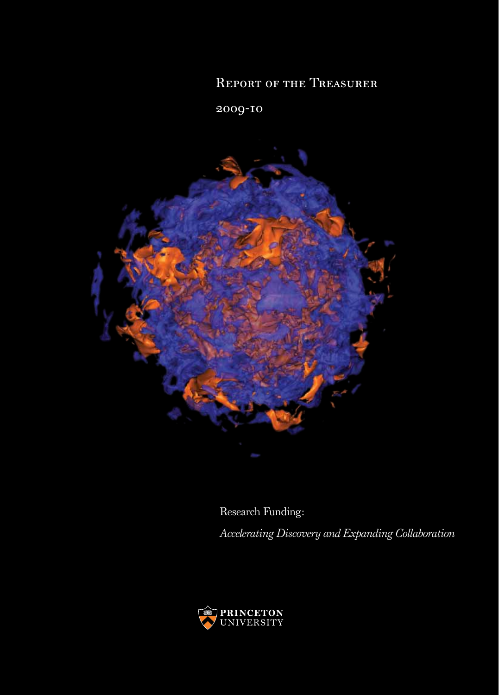## Report of the Treasurer

2009-10



Research Funding: *Accelerating Discovery and Expanding Collaboration*

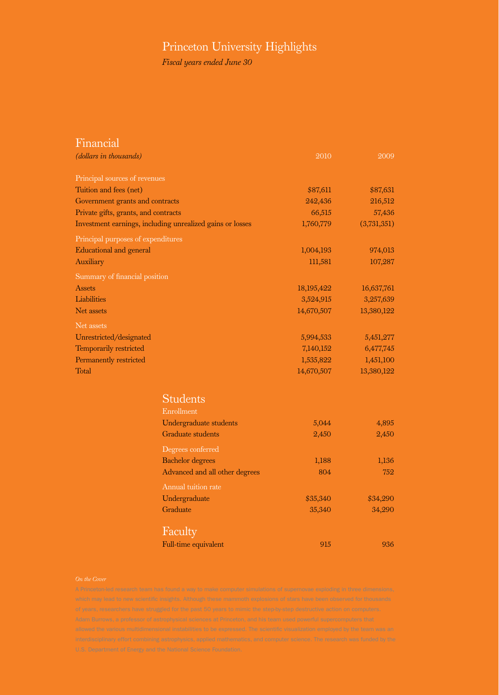## Princeton University Highlights

*Fiscal years ended June 30*

| <u>Financial</u>                     |                                                           |            |             |
|--------------------------------------|-----------------------------------------------------------|------------|-------------|
| (dollars in thousands)               |                                                           | 2010       | 2009        |
| Principal sources of revenues        |                                                           |            |             |
| Tuition and fees (net)               |                                                           | \$87,611   | \$87,631    |
| Government grants and contracts      |                                                           | 242,436    | 216,512     |
| Private gifts, grants, and contracts |                                                           | 66,515     | 57,436      |
|                                      | Investment earnings, including unrealized gains or losses | 1,760,779  | (3,731,351) |
| Principal purposes of expenditures   |                                                           |            |             |
| <b>Educational and general</b>       |                                                           | 1,004,193  | 974,013     |
| Auxiliary                            |                                                           | 111,581    | 107,287     |
| Summary of financial position        |                                                           |            |             |
| Assets                               |                                                           | 18,195,422 | 16,637,761  |
| Liabilities                          |                                                           | 3,524,915  | 3,257,639   |
| Net assets                           |                                                           | 14,670,507 | 13,380,122  |
| Net assets                           |                                                           |            |             |
| Unrestricted/designated              |                                                           | 5,994,533  | 5,451,277   |
| Temporarily restricted               |                                                           | 7,140,152  | 6,477,745   |
| Permanently restricted               |                                                           | 1,535,822  | 1,451,100   |
| Total                                |                                                           | 14,670,507 | 13,380,122  |
|                                      | <b>Students</b>                                           |            |             |
|                                      | Enrollment                                                |            |             |
|                                      | Undergraduate students                                    | 5,044      | 4,895       |
|                                      | <b>Graduate students</b>                                  | 2,450      | 2,450       |
|                                      |                                                           |            |             |
|                                      | Degrees conferred                                         |            |             |
|                                      | <b>Bachelor</b> degrees                                   | 1,188      | 1,136       |
|                                      | Advanced and all other degrees                            | 804        | 752         |
|                                      | Annual tuition rate                                       |            |             |
|                                      | Undergraduate                                             | \$35,340   | \$34,290    |
|                                      | Graduate                                                  | 35,340     | 34,290      |
|                                      | Faculty                                                   |            |             |
|                                      | Full-time equivalent                                      | 915        | 936         |
|                                      |                                                           |            |             |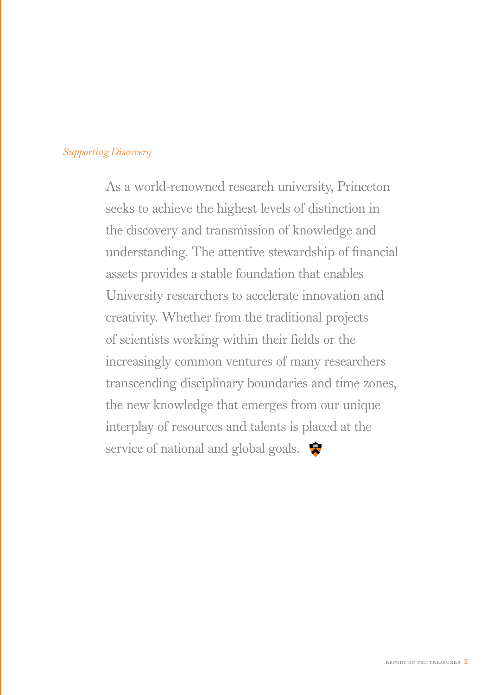## *Supporting Discovery*

As a world-renowned research university, Princeton seeks to achieve the highest levels of distinction in the discovery and transmission of knowledge and understanding. The attentive stewardship of financial assets provides a stable foundation that enables University researchers to accelerate innovation and creativity. Whether from the traditional projects of scientists working within their fields or the increasingly common ventures of many researchers transcending disciplinary boundaries and time zones, the new knowledge that emerges from our unique interplay of resources and talents is placed at the service of national and global goals.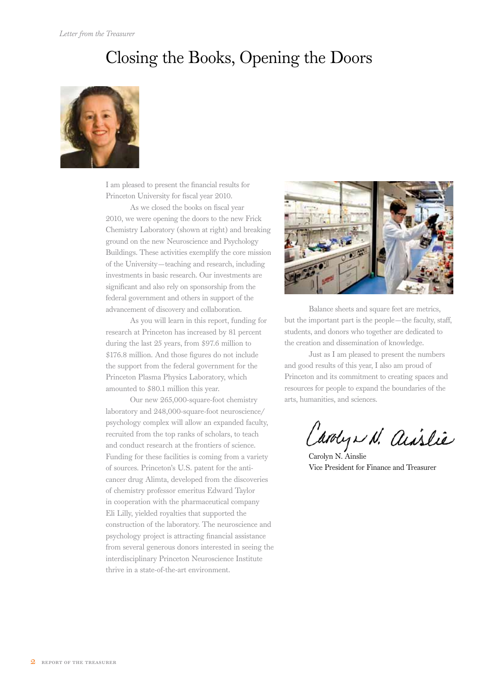## Closing the Books, Opening the Doors



I am pleased to present the financial results for Princeton University for fiscal year 2010.

As we closed the books on fiscal year 2010, we were opening the doors to the new Frick Chemistry Laboratory (shown at right) and breaking ground on the new Neuroscience and Psychology Buildings. These activities exemplify the core mission of the University—teaching and research, including investments in basic research. Our investments are significant and also rely on sponsorship from the federal government and others in support of the advancement of discovery and collaboration.

As you will learn in this report, funding for research at Princeton has increased by 81 percent during the last 25 years, from \$97.6 million to \$176.8 million. And those figures do not include the support from the federal government for the Princeton Plasma Physics Laboratory, which amounted to \$80.1 million this year.

Our new 265,000-square-foot chemistry laboratory and 248,000-square-foot neuroscience/ psychology complex will allow an expanded faculty, recruited from the top ranks of scholars, to teach and conduct research at the frontiers of science. Funding for these facilities is coming from a variety of sources. Princeton's U.S. patent for the anticancer drug Alimta, developed from the discoveries of chemistry professor emeritus Edward Taylor in cooperation with the pharmaceutical company Eli Lilly, yielded royalties that supported the construction of the laboratory. The neuroscience and psychology project is attracting financial assistance from several generous donors interested in seeing the interdisciplinary Princeton Neuroscience Institute thrive in a state-of-the-art environment.



Balance sheets and square feet are metrics, but the important part is the people—the faculty, staff, students, and donors who together are dedicated to the creation and dissemination of knowledge.

Just as I am pleased to present the numbers and good results of this year, I also am proud of Princeton and its commitment to creating spaces and resources for people to expand the boundaries of the arts, humanities, and sciences.

Carolyn N. Ainslie

Vice President for Finance and Treasurer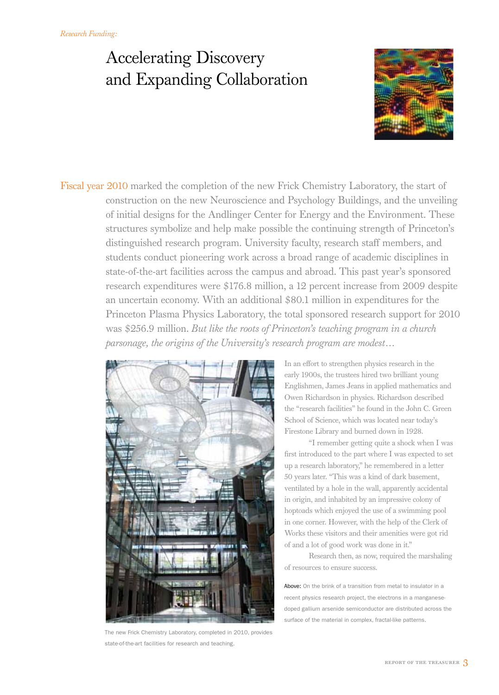# Accelerating Discovery and Expanding Collaboration



Fiscal year 2010 marked the completion of the new Frick Chemistry Laboratory, the start of construction on the new Neuroscience and Psychology Buildings, and the unveiling of initial designs for the Andlinger Center for Energy and the Environment. These structures symbolize and help make possible the continuing strength of Princeton's distinguished research program. University faculty, research staff members, and students conduct pioneering work across a broad range of academic disciplines in state-of-the-art facilities across the campus and abroad. This past year's sponsored research expenditures were \$176.8 million, a 12 percent increase from 2009 despite an uncertain economy. With an additional \$80.1 million in expenditures for the Princeton Plasma Physics Laboratory, the total sponsored research support for 2010 was \$256.9 million. *But like the roots of Princeton's teaching program in a church parsonage, the origins of the University's research program are modest…*



The new Frick Chemistry Laboratory, completed in 2010, provides state-of-the-art facilities for research and teaching.

In an effort to strengthen physics research in the early 1900s, the trustees hired two brilliant young Englishmen, James Jeans in applied mathematics and Owen Richardson in physics. Richardson described the "research facilities" he found in the John C. Green School of Science, which was located near today's Firestone Library and burned down in 1928.

"I remember getting quite a shock when I was first introduced to the part where I was expected to set up a research laboratory," he remembered in a letter 50 years later. "This was a kind of dark basement, ventilated by a hole in the wall, apparently accidental in origin, and inhabited by an impressive colony of hoptoads which enjoyed the use of a swimming pool in one corner. However, with the help of the Clerk of Works these visitors and their amenities were got rid of and a lot of good work was done in it."

Research then, as now, required the marshaling of resources to ensure success.

Above: On the brink of a transition from metal to insulator in a recent physics research project, the electrons in a manganesedoped gallium arsenide semiconductor are distributed across the surface of the material in complex, fractal-like patterns.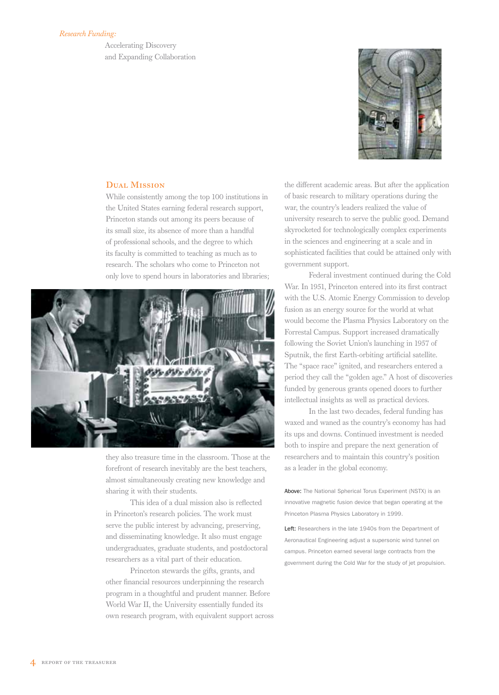### *Research Funding:*

Accelerating Discovery and Expanding Collaboration



### DUAL MISSION

While consistently among the top 100 institutions in the United States earning federal research support, Princeton stands out among its peers because of its small size, its absence of more than a handful of professional schools, and the degree to which its faculty is committed to teaching as much as to research. The scholars who come to Princeton not only love to spend hours in laboratories and libraries;



they also treasure time in the classroom. Those at the forefront of research inevitably are the best teachers, almost simultaneously creating new knowledge and sharing it with their students.

This idea of a dual mission also is reflected in Princeton's research policies. The work must serve the public interest by advancing, preserving, and disseminating knowledge. It also must engage undergraduates, graduate students, and postdoctoral researchers as a vital part of their education.

Princeton stewards the gifts, grants, and other financial resources underpinning the research program in a thoughtful and prudent manner. Before World War II, the University essentially funded its own research program, with equivalent support across the different academic areas. But after the application of basic research to military operations during the war, the country's leaders realized the value of university research to serve the public good. Demand skyrocketed for technologically complex experiments in the sciences and engineering at a scale and in sophisticated facilities that could be attained only with government support.

Federal investment continued during the Cold War. In 1951, Princeton entered into its first contract with the U.S. Atomic Energy Commission to develop fusion as an energy source for the world at what would become the Plasma Physics Laboratory on the Forrestal Campus. Support increased dramatically following the Soviet Union's launching in 1957 of Sputnik, the first Earth-orbiting artificial satellite. The "space race" ignited, and researchers entered a period they call the "golden age." A host of discoveries funded by generous grants opened doors to further intellectual insights as well as practical devices.

In the last two decades, federal funding has waxed and waned as the country's economy has had its ups and downs. Continued investment is needed both to inspire and prepare the next generation of researchers and to maintain this country's position as a leader in the global economy.

Above: The National Spherical Torus Experiment (NSTX) is an innovative magnetic fusion device that began operating at the Princeton Plasma Physics Laboratory in 1999.

Left: Researchers in the late 1940s from the Department of Aeronautical Engineering adjust a supersonic wind tunnel on campus. Princeton earned several large contracts from the government during the Cold War for the study of jet propulsion.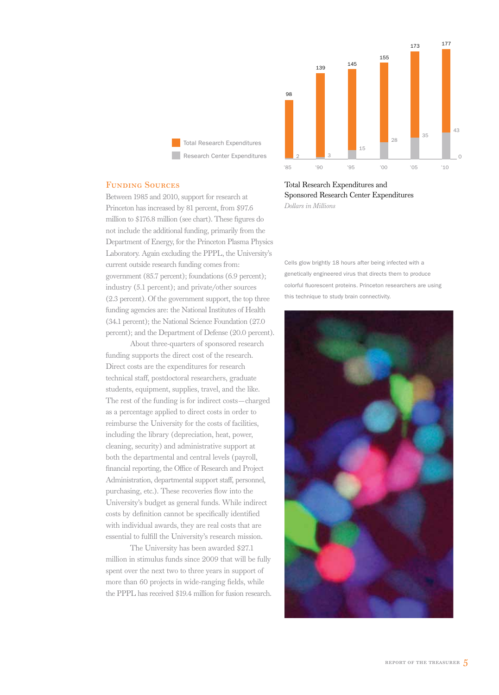

**Total Research Expenditures** Research Center Expenditures

### Funding Sources

Between 1985 and 2010, support for research at Princeton has increased by 81 percent, from \$97.6 million to \$176.8 million (see chart). These figures do not include the additional funding, primarily from the Department of Energy, for the Princeton Plasma Physics Laboratory. Again excluding the PPPL, the University's current outside research funding comes from: government (85.7 percent); foundations (6.9 percent); industry (5.1 percent); and private/other sources (2.3 percent). Of the government support, the top three funding agencies are: the National Institutes of Health (34.1 percent); the National Science Foundation (27.0 percent); and the Department of Defense (20.0 percent).

About three-quarters of sponsored research funding supports the direct cost of the research. Direct costs are the expenditures for research technical staff, postdoctoral researchers, graduate students, equipment, supplies, travel, and the like. The rest of the funding is for indirect costs—charged as a percentage applied to direct costs in order to reimburse the University for the costs of facilities, including the library (depreciation, heat, power, cleaning, security) and administrative support at both the departmental and central levels (payroll, financial reporting, the Office of Research and Project Administration, departmental support staff, personnel, purchasing, etc.). These recoveries flow into the University's budget as general funds. While indirect costs by definition cannot be specifically identified with individual awards, they are real costs that are essential to fulfill the University's research mission.

The University has been awarded \$27.1 million in stimulus funds since 2009 that will be fully spent over the next two to three years in support of more than 60 projects in wide-ranging fields, while the PPPL has received \$19.4 million for fusion research.

Total Research Expenditures and Sponsored Research Center Expenditures *Dollars in Millions*

Cells glow brightly 18 hours after being infected with a genetically engineered virus that directs them to produce colorful fluorescent proteins. Princeton researchers are using this technique to study brain connectivity.

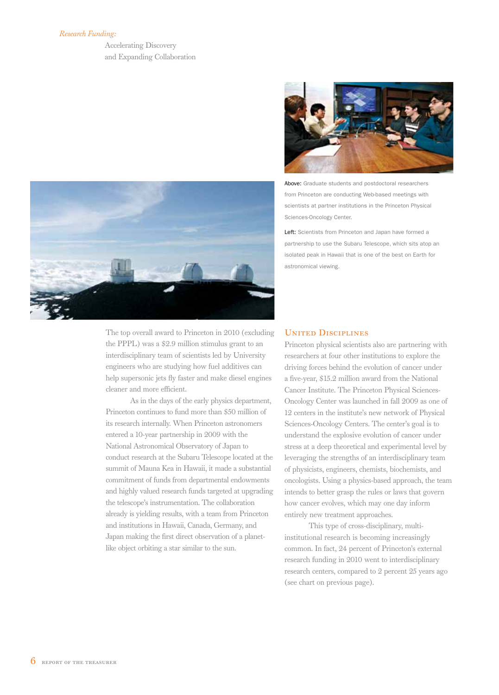### *Research Funding:*

Accelerating Discovery and Expanding Collaboration



The top overall award to Princeton in 2010 (excluding the PPPL) was a \$2.9 million stimulus grant to an interdisciplinary team of scientists led by University engineers who are studying how fuel additives can help supersonic jets fly faster and make diesel engines cleaner and more efficient.

As in the days of the early physics department, Princeton continues to fund more than \$50 million of its research internally. When Princeton astronomers entered a 10-year partnership in 2009 with the National Astronomical Observatory of Japan to conduct research at the Subaru Telescope located at the summit of Mauna Kea in Hawaii, it made a substantial commitment of funds from departmental endowments and highly valued research funds targeted at upgrading the telescope's instrumentation. The collaboration already is yielding results, with a team from Princeton and institutions in Hawaii, Canada, Germany, and Japan making the first direct observation of a planetlike object orbiting a star similar to the sun.



Above: Graduate students and postdoctoral researchers from Princeton are conducting Web-based meetings with scientists at partner institutions in the Princeton Physical Sciences-Oncology Center.

Left: Scientists from Princeton and Japan have formed a partnership to use the Subaru Telescope, which sits atop an isolated peak in Hawaii that is one of the best on Earth for astronomical viewing.

### **UNITED DISCIPLINES**

Princeton physical scientists also are partnering with researchers at four other institutions to explore the driving forces behind the evolution of cancer under a five-year, \$15.2 million award from the National Cancer Institute. The Princeton Physical Sciences-Oncology Center was launched in fall 2009 as one of 12 centers in the institute's new network of Physical Sciences-Oncology Centers. The center's goal is to understand the explosive evolution of cancer under stress at a deep theoretical and experimental level by leveraging the strengths of an interdisciplinary team of physicists, engineers, chemists, biochemists, and oncologists. Using a physics-based approach, the team intends to better grasp the rules or laws that govern how cancer evolves, which may one day inform entirely new treatment approaches.

This type of cross-disciplinary, multiinstitutional research is becoming increasingly common. In fact, 24 percent of Princeton's external research funding in 2010 went to interdisciplinary research centers, compared to 2 percent 25 years ago (see chart on previous page).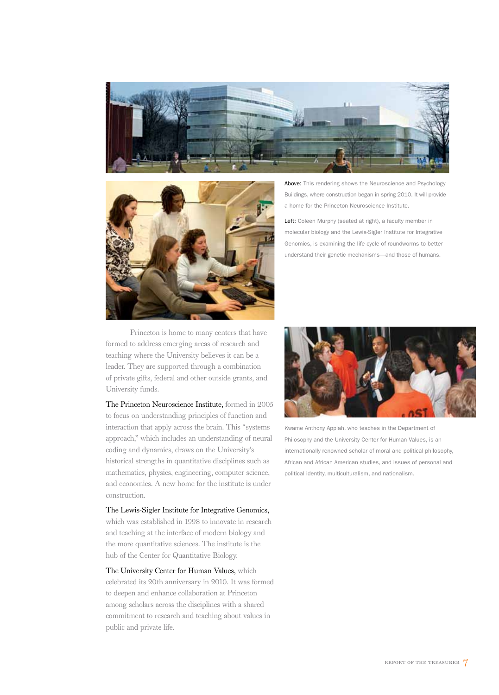



Princeton is home to many centers that have formed to address emerging areas of research and teaching where the University believes it can be a leader. They are supported through a combination of private gifts, federal and other outside grants, and University funds.

The Princeton Neuroscience Institute, formed in 2005 to focus on understanding principles of function and interaction that apply across the brain. This "systems approach," which includes an understanding of neural coding and dynamics, draws on the University's historical strengths in quantitative disciplines such as mathematics, physics, engineering, computer science, and economics. A new home for the institute is under construction.

The Lewis-Sigler Institute for Integrative Genomics, which was established in 1998 to innovate in research and teaching at the interface of modern biology and the more quantitative sciences. The institute is the hub of the Center for Quantitative Biology.

The University Center for Human Values, which celebrated its 20th anniversary in 2010. It was formed to deepen and enhance collaboration at Princeton among scholars across the disciplines with a shared commitment to research and teaching about values in public and private life.

Above: This rendering shows the Neuroscience and Psychology Buildings, where construction began in spring 2010. It will provide a home for the Princeton Neuroscience Institute.

Left: Coleen Murphy (seated at right), a faculty member in molecular biology and the Lewis-Sigler Institute for Integrative Genomics, is examining the life cycle of roundworms to better understand their genetic mechanisms—and those of humans.



Kwame Anthony Appiah, who teaches in the Department of Philosophy and the University Center for Human Values, is an internationally renowned scholar of moral and political philosophy, African and African American studies, and issues of personal and political identity, multiculturalism, and nationalism.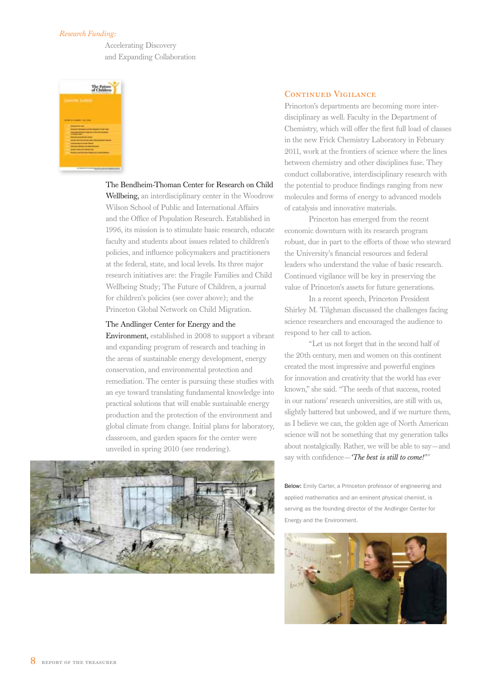### *Research Funding:*

Accelerating Discovery and Expanding Collaboration



### The Bendheim-Thoman Center for Research on Child

Wellbeing, an interdisciplinary center in the Woodrow Wilson School of Public and International Affairs and the Office of Population Research. Established in 1996, its mission is to stimulate basic research, educate faculty and students about issues related to children's policies, and influence policymakers and practitioners at the federal, state, and local levels. Its three major research initiatives are: the Fragile Families and Child Wellbeing Study; The Future of Children, a journal for children's policies (see cover above); and the Princeton Global Network on Child Migration.

### The Andlinger Center for Energy and the

Environment, established in 2008 to support a vibrant and expanding program of research and teaching in the areas of sustainable energy development, energy conservation, and environmental protection and remediation. The center is pursuing these studies with an eye toward translating fundamental knowledge into practical solutions that will enable sustainable energy production and the protection of the environment and global climate from change. Initial plans for laboratory, classroom, and garden spaces for the center were unveiled in spring 2010 (see rendering).



### CONTINUED VIGILANCE

Princeton's departments are becoming more interdisciplinary as well. Faculty in the Department of Chemistry, which will offer the first full load of classes in the new Frick Chemistry Laboratory in February 2011, work at the frontiers of science where the lines between chemistry and other disciplines fuse. They conduct collaborative, interdisciplinary research with the potential to produce findings ranging from new molecules and forms of energy to advanced models of catalysis and innovative materials.

Princeton has emerged from the recent economic downturn with its research program robust, due in part to the efforts of those who steward the University's financial resources and federal leaders who understand the value of basic research. Continued vigilance will be key in preserving the value of Princeton's assets for future generations.

In a recent speech, Princeton President Shirley M. Tilghman discussed the challenges facing science researchers and encouraged the audience to respond to her call to action.

"Let us not forget that in the second half of the 20th century, men and women on this continent created the most impressive and powerful engines for innovation and creativity that the world has ever known," she said. "The seeds of that success, rooted in our nations' research universities, are still with us, slightly battered but unbowed, and if we nurture them, as I believe we can, the golden age of North American science will not be something that my generation talks about nostalgically. Rather, we will be able to say—and say with confidence—*'The best is still to come!'"*

Below: Emily Carter, a Princeton professor of engineering and applied mathematics and an eminent physical chemist, is serving as the founding director of the Andlinger Center for Energy and the Environment.

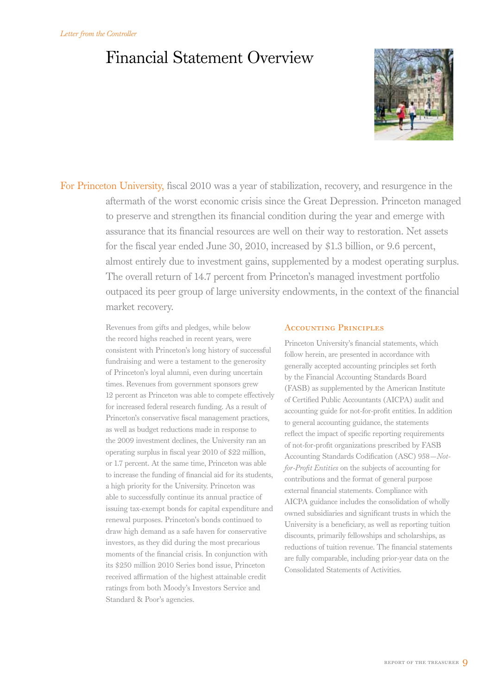# Financial Statement Overview



For Princeton University, fiscal 2010 was a year of stabilization, recovery, and resurgence in the aftermath of the worst economic crisis since the Great Depression. Princeton managed to preserve and strengthen its financial condition during the year and emerge with assurance that its financial resources are well on their way to restoration. Net assets for the fiscal year ended June 30, 2010, increased by \$1.3 billion, or 9.6 percent, almost entirely due to investment gains, supplemented by a modest operating surplus. The overall return of 14.7 percent from Princeton's managed investment portfolio outpaced its peer group of large university endowments, in the context of the financial market recovery.

> Revenues from gifts and pledges, while below the record highs reached in recent years, were consistent with Princeton's long history of successful fundraising and were a testament to the generosity of Princeton's loyal alumni, even during uncertain times. Revenues from government sponsors grew 12 percent as Princeton was able to compete effectively for increased federal research funding. As a result of Princeton's conservative fiscal management practices, as well as budget reductions made in response to the 2009 investment declines, the University ran an operating surplus in fiscal year 2010 of \$22 million, or 1.7 percent. At the same time, Princeton was able to increase the funding of financial aid for its students, a high priority for the University. Princeton was able to successfully continue its annual practice of issuing tax-exempt bonds for capital expenditure and renewal purposes. Princeton's bonds continued to draw high demand as a safe haven for conservative investors, as they did during the most precarious moments of the financial crisis. In conjunction with its \$250 million 2010 Series bond issue, Princeton received affirmation of the highest attainable credit ratings from both Moody's Investors Service and Standard & Poor's agencies.

### ACCOUNTING PRINCIPLES

Princeton University's financial statements, which follow herein, are presented in accordance with generally accepted accounting principles set forth by the Financial Accounting Standards Board (FASB) as supplemented by the American Institute of Certified Public Accountants (AICPA) audit and accounting guide for not-for-profit entities. In addition to general accounting guidance, the statements reflect the impact of specific reporting requirements of not-for-profit organizations prescribed by FASB Accounting Standards Codification (ASC) 958—*Notfor-Profit Entities* on the subjects of accounting for contributions and the format of general purpose external financial statements. Compliance with AICPA guidance includes the consolidation of wholly owned subsidiaries and significant trusts in which the University is a beneficiary, as well as reporting tuition discounts, primarily fellowships and scholarships, as reductions of tuition revenue. The financial statements are fully comparable, including prior-year data on the Consolidated Statements of Activities.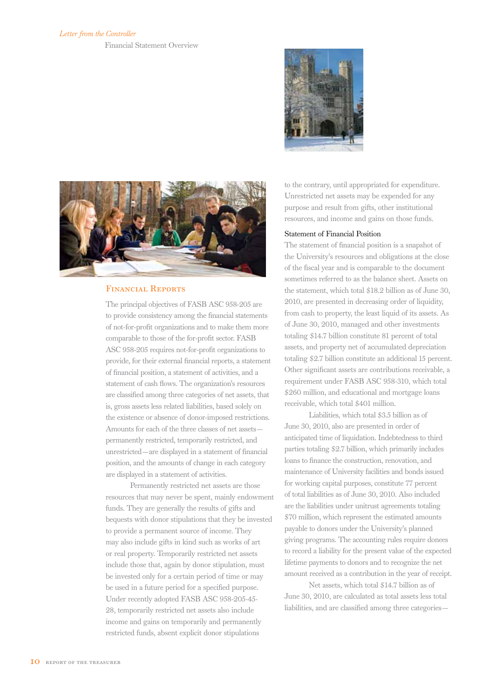### *Letter from the Controller*

Financial Statement Overview



### Financial Reports

The principal objectives of FASB ASC 958-205 are to provide consistency among the financial statements of not-for-profit organizations and to make them more comparable to those of the for-profit sector. FASB ASC 958-205 requires not-for-profit organizations to provide, for their external financial reports, a statement of financial position, a statement of activities, and a statement of cash flows. The organization's resources are classified among three categories of net assets, that is, gross assets less related liabilities, based solely on the existence or absence of donor-imposed restrictions. Amounts for each of the three classes of net assets permanently restricted, temporarily restricted, and unrestricted—are displayed in a statement of financial position, and the amounts of change in each category are displayed in a statement of activities.

Permanently restricted net assets are those resources that may never be spent, mainly endowment funds. They are generally the results of gifts and bequests with donor stipulations that they be invested to provide a permanent source of income. They may also include gifts in kind such as works of art or real property. Temporarily restricted net assets include those that, again by donor stipulation, must be invested only for a certain period of time or may be used in a future period for a specified purpose. Under recently adopted FASB ASC 958-205-45- 28, temporarily restricted net assets also include income and gains on temporarily and permanently restricted funds, absent explicit donor stipulations



to the contrary, until appropriated for expenditure. Unrestricted net assets may be expended for any purpose and result from gifts, other institutional resources, and income and gains on those funds.

### Statement of Financial Position

The statement of financial position is a snapshot of the University's resources and obligations at the close of the fiscal year and is comparable to the document sometimes referred to as the balance sheet. Assets on the statement, which total \$18.2 billion as of June 30, 2010, are presented in decreasing order of liquidity, from cash to property, the least liquid of its assets. As of June 30, 2010, managed and other investments totaling \$14.7 billion constitute 81 percent of total assets, and property net of accumulated depreciation totaling \$2.7 billion constitute an additional 15 percent. Other significant assets are contributions receivable, a requirement under FASB ASC 958-310, which total \$260 million, and educational and mortgage loans receivable, which total \$401 million.

Liabilities, which total \$3.5 billion as of June 30, 2010, also are presented in order of anticipated time of liquidation. Indebtedness to third parties totaling \$2.7 billion, which primarily includes loans to finance the construction, renovation, and maintenance of University facilities and bonds issued for working capital purposes, constitute 77 percent of total liabilities as of June 30, 2010. Also included are the liabilities under unitrust agreements totaling \$70 million, which represent the estimated amounts payable to donors under the University's planned giving programs. The accounting rules require donees to record a liability for the present value of the expected lifetime payments to donors and to recognize the net amount received as a contribution in the year of receipt.

Net assets, which total \$14.7 billion as of June 30, 2010, are calculated as total assets less total liabilities, and are classified among three categories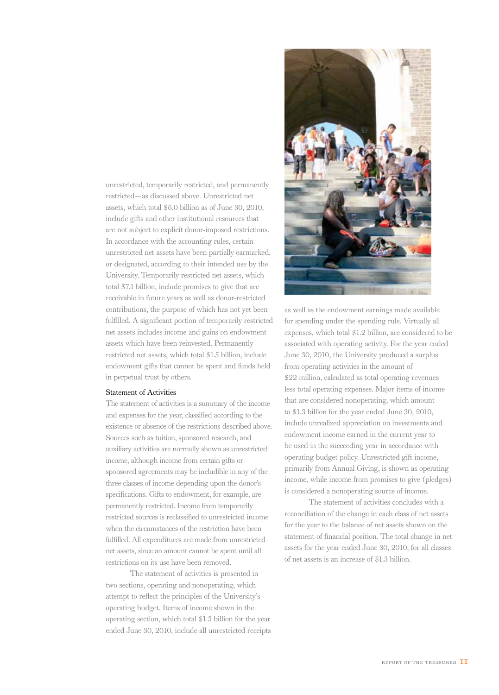unrestricted, temporarily restricted, and permanently restricted—as discussed above. Unrestricted net assets, which total \$6.0 billion as of June 30, 2010, include gifts and other institutional resources that are not subject to explicit donor-imposed restrictions. In accordance with the accounting rules, certain unrestricted net assets have been partially earmarked, or designated, according to their intended use by the University. Temporarily restricted net assets, which total \$7.1 billion, include promises to give that are receivable in future years as well as donor-restricted contributions, the purpose of which has not yet been fulfilled. A significant portion of temporarily restricted net assets includes income and gains on endowment assets which have been reinvested. Permanently restricted net assets, which total \$1.5 billion, include endowment gifts that cannot be spent and funds held in perpetual trust by others.

### Statement of Activities

The statement of activities is a summary of the income and expenses for the year, classified according to the existence or absence of the restrictions described above. Sources such as tuition, sponsored research, and auxiliary activities are normally shown as unrestricted income, although income from certain gifts or sponsored agreements may be includible in any of the three classes of income depending upon the donor's specifications. Gifts to endowment, for example, are permanently restricted. Income from temporarily restricted sources is reclassified to unrestricted income when the circumstances of the restriction have been fulfilled. All expenditures are made from unrestricted net assets, since an amount cannot be spent until all restrictions on its use have been removed.

The statement of activities is presented in two sections, operating and nonoperating, which attempt to reflect the principles of the University's operating budget. Items of income shown in the operating section, which total \$1.3 billion for the year ended June 30, 2010, include all unrestricted receipts



as well as the endowment earnings made available for spending under the spending rule. Virtually all expenses, which total \$1.2 billion, are considered to be associated with operating activity. For the year ended June 30, 2010, the University produced a surplus from operating activities in the amount of \$22 million, calculated as total operating revenues less total operating expenses. Major items of income that are considered nonoperating, which amount to \$1.3 billion for the year ended June 30, 2010, include unrealized appreciation on investments and endowment income earned in the current year to be used in the succeeding year in accordance with operating budget policy. Unrestricted gift income, primarily from Annual Giving, is shown as operating income, while income from promises to give (pledges) is considered a nonoperating source of income.

The statement of activities concludes with a reconciliation of the change in each class of net assets for the year to the balance of net assets shown on the statement of financial position. The total change in net assets for the year ended June 30, 2010, for all classes of net assets is an increase of \$1.3 billion.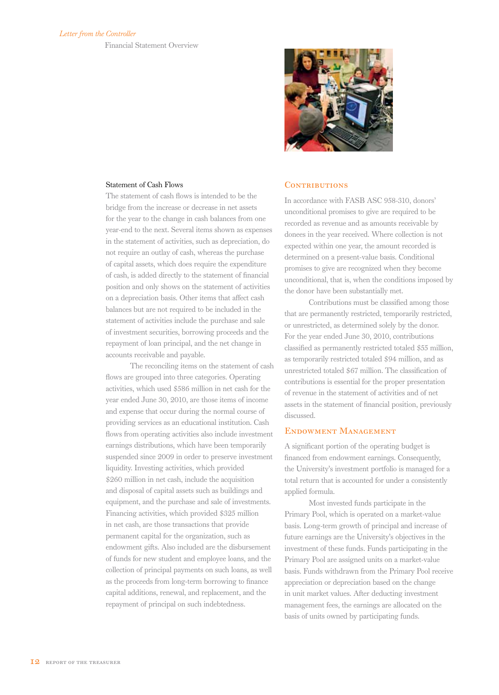

### Statement of Cash Flows

The statement of cash flows is intended to be the bridge from the increase or decrease in net assets for the year to the change in cash balances from one year-end to the next. Several items shown as expenses in the statement of activities, such as depreciation, do not require an outlay of cash, whereas the purchase of capital assets, which does require the expenditure of cash, is added directly to the statement of financial position and only shows on the statement of activities on a depreciation basis. Other items that affect cash balances but are not required to be included in the statement of activities include the purchase and sale of investment securities, borrowing proceeds and the repayment of loan principal, and the net change in accounts receivable and payable.

The reconciling items on the statement of cash flows are grouped into three categories. Operating activities, which used \$586 million in net cash for the year ended June 30, 2010, are those items of income and expense that occur during the normal course of providing services as an educational institution. Cash flows from operating activities also include investment earnings distributions, which have been temporarily suspended since 2009 in order to preserve investment liquidity. Investing activities, which provided \$260 million in net cash, include the acquisition and disposal of capital assets such as buildings and equipment, and the purchase and sale of investments. Financing activities, which provided \$325 million in net cash, are those transactions that provide permanent capital for the organization, such as endowment gifts. Also included are the disbursement of funds for new student and employee loans, and the collection of principal payments on such loans, as well as the proceeds from long-term borrowing to finance capital additions, renewal, and replacement, and the repayment of principal on such indebtedness.

### CONTRIBUTIONS

In accordance with FASB ASC 958-310, donors' unconditional promises to give are required to be recorded as revenue and as amounts receivable by donees in the year received. Where collection is not expected within one year, the amount recorded is determined on a present-value basis. Conditional promises to give are recognized when they become unconditional, that is, when the conditions imposed by the donor have been substantially met.

Contributions must be classified among those that are permanently restricted, temporarily restricted, or unrestricted, as determined solely by the donor. For the year ended June 30, 2010, contributions classified as permanently restricted totaled \$55 million, as temporarily restricted totaled \$94 million, and as unrestricted totaled \$67 million. The classification of contributions is essential for the proper presentation of revenue in the statement of activities and of net assets in the statement of financial position, previously discussed.

### Endowment Management

A significant portion of the operating budget is financed from endowment earnings. Consequently, the University's investment portfolio is managed for a total return that is accounted for under a consistently applied formula.

Most invested funds participate in the Primary Pool, which is operated on a market-value basis. Long-term growth of principal and increase of future earnings are the University's objectives in the investment of these funds. Funds participating in the Primary Pool are assigned units on a market-value basis. Funds withdrawn from the Primary Pool receive appreciation or depreciation based on the change in unit market values. After deducting investment management fees, the earnings are allocated on the basis of units owned by participating funds.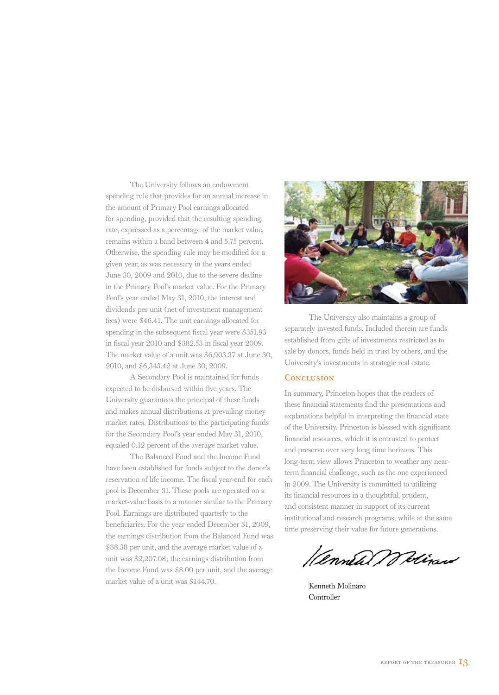The University follows an endowment spending rule that provides for an annual increase in the amount of Primary Pool earnings allocated for spending, provided that the resulting spending rate, expressed as a percentage of the market value, remains within a band between 4 and 5.75 percent. Otherwise, the spending rule may be modified for a given year, as was necessary in the years ended June 30, 2009 and 2010, due to the severe decline in the Primary Pool's market value. For the Primary Pool's year ended May 31, 2010, the interest and dividends per unit (net of investment management fees) were \$46.41. The unit earnings allocated for spending in the subsequent fiscal year were \$351.93 in fiscal year 2010 and \$382.53 in fiscal year 2009. The market value of a unit was \$6,903.37 at June 30, 2010, and \$6,343.42 at June 30, 2009.

A Secondary Pool is maintained for funds expected to be disbursed within five years. The University guarantees the principal of these funds and makes annual distributions at prevailing money market rates. Distributions to the participating funds for the Secondary Pool's year ended May 31, 2010, equaled 0.12 percent of the average market value.

The Balanced Fund and the Income Fund have been established for funds subject to the donor's reservation of life income. The fiscal year-end for each pool is December 31. These pools are operated on a market-value basis in a manner similar to the Primary Pool. Earnings are distributed quarterly to the beneficiaries. For the year ended December 31, 2009, the earnings distribution from the Balanced Fund was \$88.38 per unit, and the average market value of a unit was \$2,207.08; the earnings distribution from the Income Fund was \$8.00 per unit, and the average market value of a unit was \$144.70.



The University also maintains a group of separately invested funds. Included therein are funds established from gifts of investments restricted as to sale by donors, funds held in trust by others, and the University's investments in strategic real estate.

### **CONCLUSION**

In summary, Princeton hopes that the readers of these financial statements find the presentations and explanations helpful in interpreting the financial state of the University. Princeton is blessed with significant financial resources, which it is entrusted to protect and preserve over very long time horizons. This long-term view allows Princeton to weather any nearterm financial challenge, such as the one experienced in 2009. The University is committed to utilizing its financial resources in a thoughtful, prudent, and consistent manner in support of its current institutional and research programs, while at the same time preserving their value for future generations.

*Hennew Welizand* 

Kenneth Molinaro Controller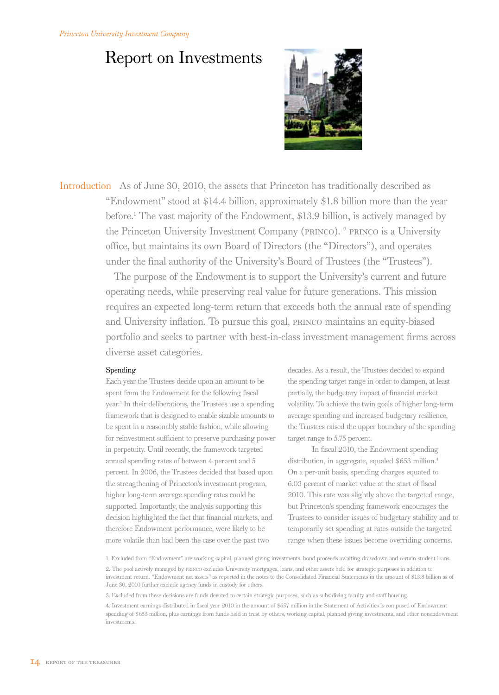### *Princeton University Investment Company*

## Report on Investments



Introduction As of June 30, 2010, the assets that Princeton has traditionally described as "Endowment" stood at \$14.4 billion, approximately \$1.8 billion more than the year before.1 The vast majority of the Endowment, \$13.9 billion, is actively managed by the Princeton University Investment Company (princo). 2 princo is a University office, but maintains its own Board of Directors (the "Directors"), and operates under the final authority of the University's Board of Trustees (the "Trustees").

> The purpose of the Endowment is to support the University's current and future operating needs, while preserving real value for future generations. This mission requires an expected long-term return that exceeds both the annual rate of spending and University inflation. To pursue this goal, princo maintains an equity-biased portfolio and seeks to partner with best-in-class investment management firms across diverse asset categories.

### Spending

Each year the Trustees decide upon an amount to be spent from the Endowment for the following fiscal year.3 In their deliberations, the Trustees use a spending framework that is designed to enable sizable amounts to be spent in a reasonably stable fashion, while allowing for reinvestment sufficient to preserve purchasing power in perpetuity. Until recently, the framework targeted annual spending rates of between 4 percent and 5 percent. In 2006, the Trustees decided that based upon the strengthening of Princeton's investment program, higher long-term average spending rates could be supported. Importantly, the analysis supporting this decision highlighted the fact that financial markets, and therefore Endowment performance, were likely to be more volatile than had been the case over the past two

decades. As a result, the Trustees decided to expand the spending target range in order to dampen, at least partially, the budgetary impact of financial market volatility. To achieve the twin goals of higher long-term average spending and increased budgetary resilience, the Trustees raised the upper boundary of the spending target range to 5.75 percent.

In fiscal 2010, the Endowment spending distribution, in aggregate, equaled \$653 million.4 On a per-unit basis, spending charges equated to 6.03 percent of market value at the start of fiscal 2010. This rate was slightly above the targeted range, but Princeton's spending framework encourages the Trustees to consider issues of budgetary stability and to temporarily set spending at rates outside the targeted range when these issues become overriding concerns.

3. Excluded from these decisions are funds devoted to certain strategic purposes, such as subsidizing faculty and staff housing.

<sup>1.</sup> Excluded from "Endowment" are working capital, planned giving investments, bond proceeds awaiting drawdown and certain student loans. 2. The pool actively managed by princo excludes University mortgages, loans, and other assets held for strategic purposes in addition to

investment return. "Endowment net assets" as reported in the notes to the Consolidated Financial Statements in the amount of \$13.8 billion as of June 30, 2010 further exclude agency funds in custody for others.

<sup>4.</sup> Investment earnings distributed in fiscal year 2010 in the amount of \$657 million in the Statement of Activities is composed of Endowment spending of \$653 million, plus earnings from funds held in trust by others, working capital, planned giving investments, and other nonendowment investments.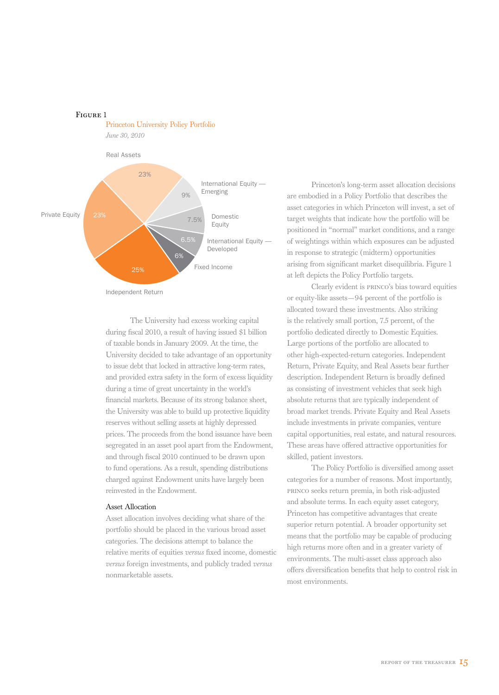Princeton University Policy Portfolio *June 30, 2010* Private Equity Real Assets International Equity — Emerging Domestic Equity International Equity — Developed Fixed Income 23% 9% 25% 7.5% 6%

Independent Return

Figure 1

The University had excess working capital during fiscal 2010, a result of having issued \$1 billion of taxable bonds in January 2009. At the time, the University decided to take advantage of an opportunity to issue debt that locked in attractive long-term rates, and provided extra safety in the form of excess liquidity during a time of great uncertainty in the world's financial markets. Because of its strong balance sheet, the University was able to build up protective liquidity reserves without selling assets at highly depressed prices. The proceeds from the bond issuance have been segregated in an asset pool apart from the Endowment, and through fiscal 2010 continued to be drawn upon to fund operations. As a result, spending distributions charged against Endowment units have largely been reinvested in the Endowment.

### Asset Allocation

Asset allocation involves deciding what share of the portfolio should be placed in the various broad asset categories. The decisions attempt to balance the relative merits of equities *versus* fixed income, domestic *versus* foreign investments, and publicly traded *versus* nonmarketable assets.

Princeton's long-term asset allocation decisions are embodied in a Policy Portfolio that describes the asset categories in which Princeton will invest, a set of target weights that indicate how the portfolio will be positioned in "normal" market conditions, and a range of weightings within which exposures can be adjusted in response to strategic (midterm) opportunities arising from significant market disequilibria. Figure 1 at left depicts the Policy Portfolio targets.

Clearly evident is princo's bias toward equities or equity-like assets—94 percent of the portfolio is allocated toward these investments. Also striking is the relatively small portion, 7.5 percent, of the portfolio dedicated directly to Domestic Equities. Large portions of the portfolio are allocated to other high-expected-return categories. Independent Return, Private Equity, and Real Assets bear further description. Independent Return is broadly defined as consisting of investment vehicles that seek high absolute returns that are typically independent of broad market trends. Private Equity and Real Assets include investments in private companies, venture capital opportunities, real estate, and natural resources. These areas have offered attractive opportunities for skilled, patient investors.

The Policy Portfolio is diversified among asset categories for a number of reasons. Most importantly, princo seeks return premia, in both risk-adjusted and absolute terms. In each equity asset category, Princeton has competitive advantages that create superior return potential. A broader opportunity set means that the portfolio may be capable of producing high returns more often and in a greater variety of environments. The multi-asset class approach also offers diversification benefits that help to control risk in most environments.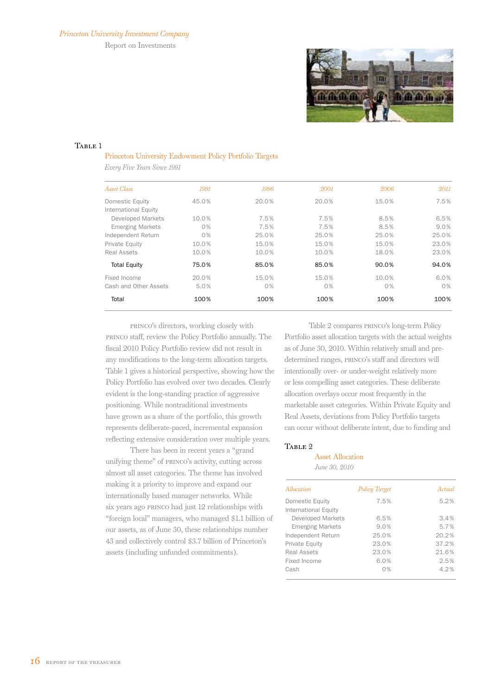Report on Investments



### TABLE 1

### Princeton University Endowment Policy Portfolio Targets

*Every Five Years Since 1991*

| Asset Class              | 1991  | 1996  | 2001  | 2006  | 2011    |
|--------------------------|-------|-------|-------|-------|---------|
| Domestic Equity          | 45.0% | 20.0% | 20.0% | 15.0% | 7.5%    |
| International Equity     |       |       |       |       |         |
| <b>Developed Markets</b> | 10.0% | 7.5%  | 7.5%  | 8.5%  | 6.5%    |
| <b>Emerging Markets</b>  | 0%    | 7.5%  | 7.5%  | 8.5%  | $9.0\%$ |
| Independent Return       | 0%    | 25.0% | 25.0% | 25.0% | 25.0%   |
| Private Equity           | 10.0% | 15.0% | 15.0% | 15.0% | 23.0%   |
| <b>Real Assets</b>       | 10.0% | 10.0% | 10.0% | 18.0% | 23.0%   |
| <b>Total Equity</b>      | 75.0% | 85.0% | 85.0% | 90.0% | 94.0%   |
| Fixed Income             | 20.0% | 15.0% | 15.0% | 10.0% | 6.0%    |
| Cash and Other Assets    | 5.0%  | 0%    | 0%    | 0%    | $0\%$   |
| Total                    | 100%  | 100%  | 100%  | 100%  | 100%    |
|                          |       |       |       |       |         |

princo's directors, working closely with princo staff, review the Policy Portfolio annually. The fiscal 2010 Policy Portfolio review did not result in any modifications to the long-term allocation targets. Table 1 gives a historical perspective, showing how the Policy Portfolio has evolved over two decades. Clearly evident is the long-standing practice of aggressive positioning. While nontraditional investments have grown as a share of the portfolio, this growth represents deliberate-paced, incremental expansion reflecting extensive consideration over multiple years.

There has been in recent years a "grand unifying theme" of princo's activity, cutting across almost all asset categories. The theme has involved making it a priority to improve and expand our internationally based manager networks. While six years ago princo had just 12 relationships with "foreign local" managers, who managed \$1.1 billion of our assets, as of June 30, these relationships number 43 and collectively control \$3.7 billion of Princeton's assets (including unfunded commitments).

Table 2 compares princo's long-term Policy Portfolio asset allocation targets with the actual weights as of June 30, 2010. Within relatively small and predetermined ranges, princo's staff and directors will intentionally over- or under-weight relatively more or less compelling asset categories. These deliberate allocation overlays occur most frequently in the marketable asset categories. Within Private Equity and Real Assets, deviations from Policy Portfolio targets can occur without deliberate intent, due to funding and

### TABLE<sub>2</sub>

### Asset Allocation *June 30, 2010*

| Allocation               | Policy Target | Actual |
|--------------------------|---------------|--------|
| Domestic Equity          | 7.5%          | 5.2%   |
| International Equity     |               |        |
| <b>Developed Markets</b> | 6.5%          | 3.4%   |
| <b>Emerging Markets</b>  | 9.0%          | 5.7%   |
| Independent Return       | 25.0%         | 20.2%  |
| Private Equity           | 23.0%         | 37.2%  |
| Real Assets              | 23.0%         | 21.6%  |
| Fixed Income             | 6.0%          | 2.5%   |
| Cash                     | 0%            | 4.2%   |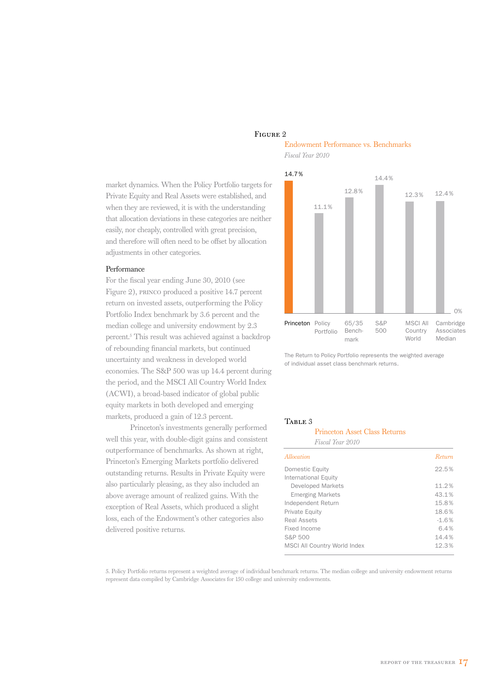### Figure 2

market dynamics. When the Policy Portfolio targets for Private Equity and Real Assets were established, and when they are reviewed, it is with the understanding that allocation deviations in these categories are neither easily, nor cheaply, controlled with great precision, and therefore will often need to be offset by allocation adjustments in other categories.

### Performance

For the fiscal year ending June 30, 2010 (see Figure 2), princo produced a positive 14.7 percent return on invested assets, outperforming the Policy Portfolio Index benchmark by 3.6 percent and the median college and university endowment by 2.3 percent.5 This result was achieved against a backdrop of rebounding financial markets, but continued uncertainty and weakness in developed world economies. The S&P 500 was up 14.4 percent during the period, and the MSCI All Country World Index (ACWI), a broad-based indicator of global public equity markets in both developed and emerging markets, produced a gain of 12.3 percent.

Princeton's investments generally performed well this year, with double-digit gains and consistent outperformance of benchmarks. As shown at right, Princeton's Emerging Markets portfolio delivered outstanding returns. Results in Private Equity were also particularly pleasing, as they also included an above average amount of realized gains. With the exception of Real Assets, which produced a slight loss, each of the Endowment's other categories also delivered positive returns.

### Endowment Performance vs. Benchmarks *Fiscal Year 2010*



The Return to Policy Portfolio represents the weighted average of individual asset class benchmark returns.

### TABLE 3

| <b>Princeton Asset Class Returns</b> |         |
|--------------------------------------|---------|
| Fiscal Year 2010                     |         |
| Allocation                           | Return  |
| Domestic Equity                      | 22.5%   |
| International Equity                 |         |
| <b>Developed Markets</b>             | 11.2%   |
| <b>Emerging Markets</b>              | 43.1%   |
| Independent Return                   | 15.8%   |
| Private Equity                       | 18.6%   |
| Real Assets                          | $-1.6%$ |
| Fixed Income                         | 6.4%    |
| S&P 500                              | 14.4%   |
| <b>MSCI All Country World Index</b>  | 12.3%   |

5. Policy Portfolio returns represent a weighted average of individual benchmark returns. The median college and university endowment returns represent data compiled by Cambridge Associates for 150 college and university endowments.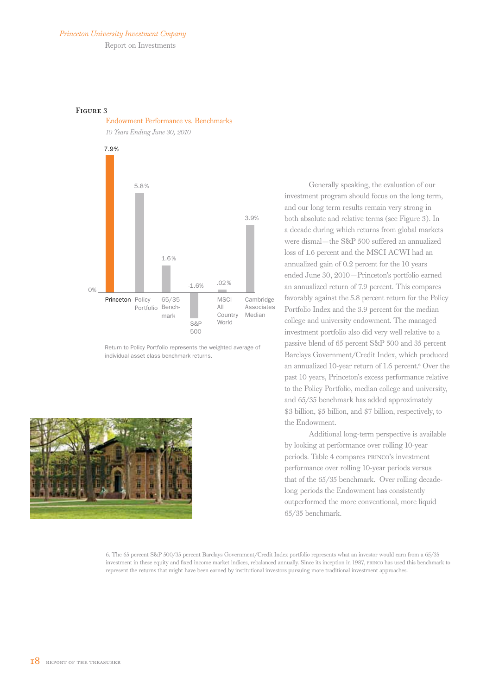### *Princeton University Investment Cmpany*

Report on Investments

### Figure 3





Return to Policy Portfolio represents the weighted average of individual asset class benchmark returns.



Generally speaking, the evaluation of our investment program should focus on the long term, and our long term results remain very strong in both absolute and relative terms (see Figure 3). In a decade during which returns from global markets were dismal—the S&P 500 suffered an annualized loss of 1.6 percent and the MSCI ACWI had an annualized gain of 0.2 percent for the 10 years ended June 30, 2010—Princeton's portfolio earned an annualized return of 7.9 percent. This compares favorably against the 5.8 percent return for the Policy Portfolio Index and the 3.9 percent for the median college and university endowment. The managed investment portfolio also did very well relative to a passive blend of 65 percent S&P 500 and 35 percent Barclays Government/Credit Index, which produced an annualized 10-year return of 1.6 percent.<sup>6</sup> Over the past 10 years, Princeton's excess performance relative to the Policy Portfolio, median college and university, and 65/35 benchmark has added approximately \$3 billion, \$5 billion, and \$7 billion, respectively, to the Endowment.

Additional long-term perspective is available by looking at performance over rolling 10-year periods. Table 4 compares princo's investment performance over rolling 10-year periods versus that of the 65/35 benchmark. Over rolling decadelong periods the Endowment has consistently outperformed the more conventional, more liquid 65/35 benchmark.

6. The 65 percent S&P 500/35 percent Barclays Government/Credit Index portfolio represents what an investor would earn from a 65/35 investment in these equity and fixed income market indices, rebalanced annually. Since its inception in 1987, princo has used this benchmark to represent the returns that might have been earned by institutional investors pursuing more traditional investment approaches.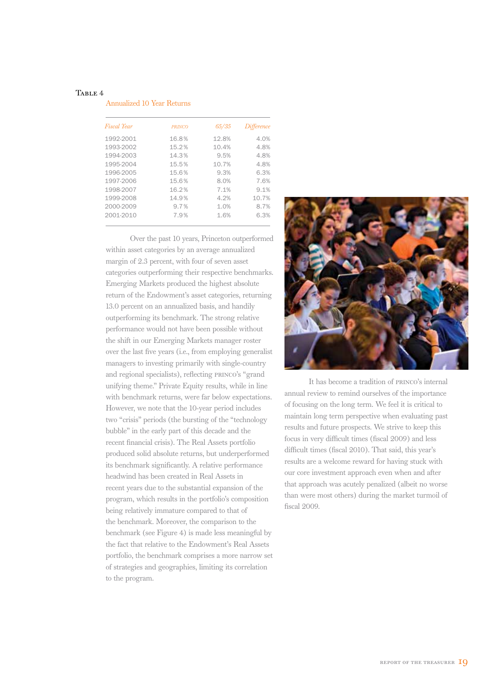### TABLE 4

| <b>Annualized 10 Year Returns</b> |  |  |  |
|-----------------------------------|--|--|--|
|-----------------------------------|--|--|--|

| Fiscal Year | <b>PRINCO</b> | 65/35 | Difference |
|-------------|---------------|-------|------------|
| 1992-2001   | 16.8%         | 12.8% | 4.0%       |
| 1993-2002   | 15.2%         | 10.4% | 4.8%       |
| 1994-2003   | 14.3%         | 9.5%  | 4.8%       |
| 1995-2004   | 15.5%         | 10.7% | 4.8%       |
| 1996-2005   | 15.6%         | 9.3%  | 6.3%       |
| 1997-2006   | 15.6%         | 8.0%  | 7.6%       |
| 1998-2007   | 16.2%         | 7.1%  | 9.1%       |
| 1999-2008   | 14.9%         | 4.2%  | 10.7%      |
| 2000-2009   | 9.7%          | 1.0%  | 8.7%       |
| 2001-2010   | 7.9%          | 1.6%  | 6.3%       |

Over the past 10 years, Princeton outperformed within asset categories by an average annualized margin of 2.3 percent, with four of seven asset categories outperforming their respective benchmarks. Emerging Markets produced the highest absolute return of the Endowment's asset categories, returning 13.0 percent on an annualized basis, and handily outperforming its benchmark. The strong relative performance would not have been possible without the shift in our Emerging Markets manager roster over the last five years (i.e., from employing generalist managers to investing primarily with single-country and regional specialists), reflecting princo's "grand unifying theme." Private Equity results, while in line with benchmark returns, were far below expectations. However, we note that the 10-year period includes two "crisis" periods (the bursting of the "technology bubble" in the early part of this decade and the recent financial crisis). The Real Assets portfolio produced solid absolute returns, but underperformed its benchmark significantly. A relative performance headwind has been created in Real Assets in recent years due to the substantial expansion of the program, which results in the portfolio's composition being relatively immature compared to that of the benchmark. Moreover, the comparison to the benchmark (see Figure 4) is made less meaningful by the fact that relative to the Endowment's Real Assets portfolio, the benchmark comprises a more narrow set of strategies and geographies, limiting its correlation to the program.



It has become a tradition of princo's internal annual review to remind ourselves of the importance of focusing on the long term. We feel it is critical to maintain long term perspective when evaluating past results and future prospects. We strive to keep this focus in very difficult times (fiscal 2009) and less difficult times (fiscal 2010). That said, this year's results are a welcome reward for having stuck with our core investment approach even when and after that approach was acutely penalized (albeit no worse than were most others) during the market turmoil of fiscal 2009.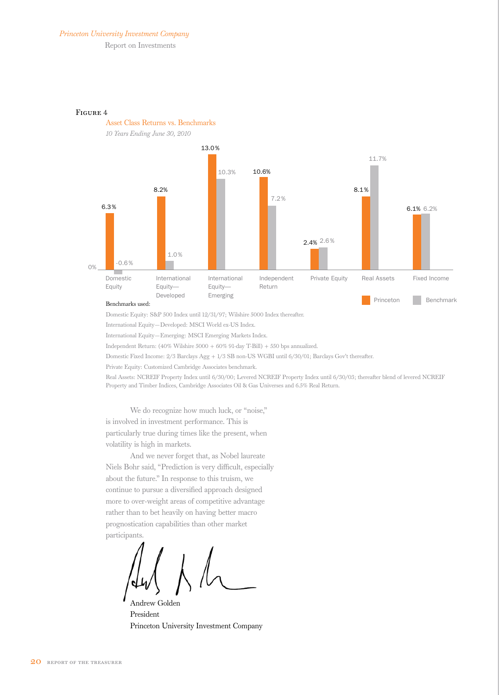### *Princeton University Investment Company*

Report on Investments

Asset Class Returns vs. Benchmarks





### Benchmarks used:

Domestic Equity: S&P 500 Index until 12/31/97; Wilshire 5000 Index thereafter.

International Equity—Developed: MSCI World ex-US Index.

International Equity—Emerging: MSCI Emerging Markets Index.

Independent Return: (40% Wilshire 5000 + 60% 91-day T-Bill) + 550 bps annualized.

Domestic Fixed Income: 2/3 Barclays Agg + 1/3 SB non-US WGBI until 6/30/01; Barclays Gov't thereafter.

Private Equity: Customized Cambridge Associates benchmark.

Real Assets: NCREIF Property Index until 6/30/00; Levered NCREIF Property Index until 6/30/03; thereafter blend of levered NCREIF Property and Timber Indices, Cambridge Associates Oil & Gas Universes and 6.5% Real Return.

We do recognize how much luck, or "noise," is involved in investment performance. This is particularly true during times like the present, when volatility is high in markets.

And we never forget that, as Nobel laureate Niels Bohr said, "Prediction is very difficult, especially about the future." In response to this truism, we continue to pursue a diversified approach designed more to over-weight areas of competitive advantage rather than to bet heavily on having better macro prognostication capabilities than other market participants.

Andrew Golden President Princeton University Investment Company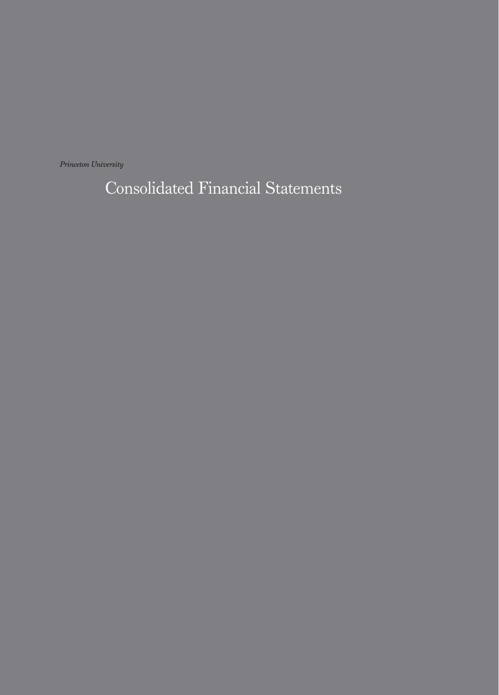*Princeton University* 

Consolidated Financial Statements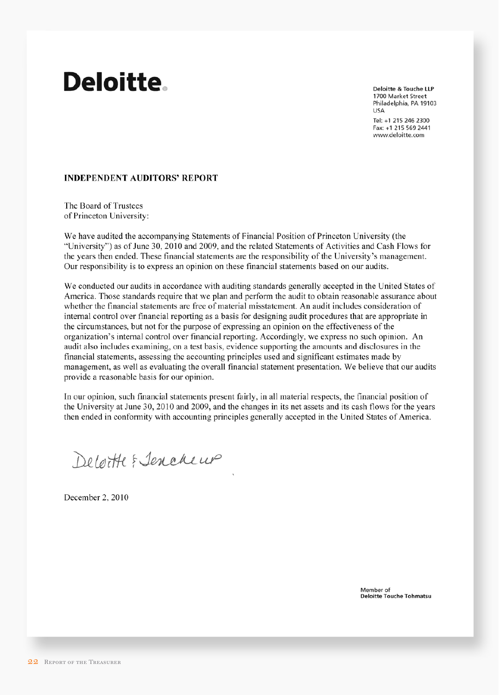# **Deloitte.**

**Deloitte & Touche LLP** 1700 Market Street Philadelphia, PA 19103 **USA** Tel: +1 215 246 2300 Fax: +1 215 569 2441

www.deloitte.com

### **INDEPENDENT AUDITORS' REPORT**

The Board of Trustees of Princeton University:

We have audited the accompanying Statements of Financial Position of Princeton University (the "University") as of June 30, 2010 and 2009, and the related Statements of Activities and Cash Flows for the years then ended. These financial statements are the responsibility of the University's management. Our responsibility is to express an opinion on these financial statements based on our audits.

We conducted our audits in accordance with auditing standards generally accepted in the United States of America. Those standards require that we plan and perform the audit to obtain reasonable assurance about whether the financial statements are free of material misstatement. An audit includes consideration of internal control over financial reporting as a basis for designing audit procedures that are appropriate in the circumstances, but not for the purpose of expressing an opinion on the effectiveness of the organization's internal control over financial reporting. Accordingly, we express no such opinion. An audit also includes examining, on a test basis, evidence supporting the amounts and disclosures in the financial statements, assessing the accounting principles used and significant estimates made by management, as well as evaluating the overall financial statement presentation. We believe that our audits provide a reasonable basis for our opinion.

In our opinion, such financial statements present fairly, in all material respects, the financial position of the University at June 30, 2010 and 2009, and the changes in its net assets and its cash flows for the years then ended in conformity with accounting principles generally accepted in the United States of America.

Deloitte & Jenekeup

December 2, 2010

Member of **Deloitte Touche Tohmatsu**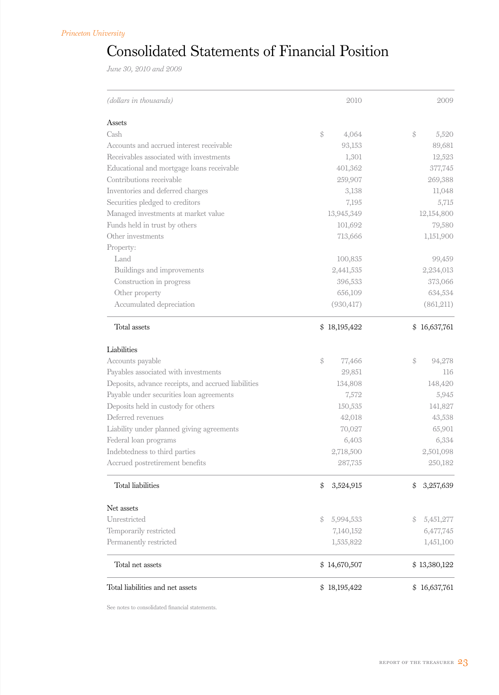## Consolidated Statements of Financial Position

*June 30, 2010 and 2009*

| (dollars in thousands)                              | 2010                    | 2009            |
|-----------------------------------------------------|-------------------------|-----------------|
| Assets                                              |                         |                 |
| Cash                                                | \$<br>4,064             | \$<br>5,520     |
| Accounts and accrued interest receivable            | 93,153                  | 89,681          |
| Receivables associated with investments             | 1,301                   | 12,523          |
| Educational and mortgage loans receivable           | 401,362                 | 377,745         |
| Contributions receivable                            | 259,907                 | 269,388         |
| Inventories and deferred charges                    | 3,138                   | 11,048          |
| Securities pledged to creditors                     | 7,195                   | 5,715           |
| Managed investments at market value                 | 13,945,349              | 12,154,800      |
| Funds held in trust by others                       | 101,692                 | 79,580          |
| Other investments                                   | 713,666                 | 1,151,900       |
| Property:                                           |                         |                 |
| Land                                                | 100,835                 | 99,459          |
| Buildings and improvements                          | 2,441,535               | 2,234,013       |
| Construction in progress                            | 396,533                 | 373,066         |
| Other property                                      | 656,109                 | 634,534         |
| Accumulated depreciation                            | (930, 417)              | (861,211)       |
| Total assets                                        | \$18,195,422            | \$16,637,761    |
| Liabilities                                         |                         |                 |
| Accounts payable                                    | $\frac{1}{2}$<br>77,466 | \$<br>94,278    |
| Payables associated with investments                | 29,851                  | 116             |
| Deposits, advance receipts, and accrued liabilities | 134,808                 | 148,420         |
| Payable under securities loan agreements            | 7,572                   | 5,945           |
| Deposits held in custody for others                 | 150,535                 | 141,827         |
| Deferred revenues                                   | 42,018                  | 43,538          |
| Liability under planned giving agreements           | 70,027                  | 65,901          |
| Federal loan programs                               | 6,403                   | 6,334           |
| Indebtedness to third parties                       | 2,718,500               | 2,501,098       |
| Accrued postretirement benefits                     | 287,735                 | 250,182         |
| Total liabilities                                   | \$<br>3,524,915         | 3,257,639<br>\$ |
| Net assets                                          |                         |                 |
| Unrestricted                                        | 5,994,533<br>\$         | 5,451,277<br>\$ |
| Temporarily restricted                              | 7,140,152               | 6,477,745       |
| Permanently restricted                              | 1,535,822               | 1,451,100       |
| Total net assets                                    | \$14,670,507            | \$13,380,122    |
| Total liabilities and net assets                    | \$18,195,422            | \$16,637,761    |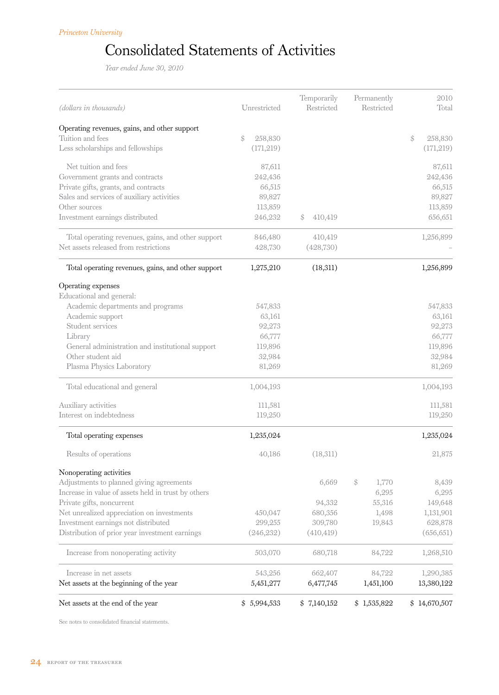## Consolidated Statements of Activities

*Year ended June 30, 2010*

| (dollars in thousands)                              | Unrestricted  | Temporarily<br>Restricted | Permanently<br>Restricted | 2010<br>Total |
|-----------------------------------------------------|---------------|---------------------------|---------------------------|---------------|
| Operating revenues, gains, and other support        |               |                           |                           |               |
| Tuition and fees                                    | \$<br>258,830 |                           |                           | \$<br>258,830 |
| Less scholarships and fellowships                   | (171, 219)    |                           |                           | (171, 219)    |
| Net tuition and fees                                | 87,611        |                           |                           | 87,611        |
| Government grants and contracts                     | 242,436       |                           |                           | 242,436       |
| Private gifts, grants, and contracts                | 66,515        |                           |                           | 66,515        |
| Sales and services of auxiliary activities          | 89,827        |                           |                           | 89,827        |
| Other sources                                       | 113,859       |                           |                           | 113,859       |
| Investment earnings distributed                     | 246,232       | \$<br>410,419             |                           | 656,651       |
| Total operating revenues, gains, and other support  | 846,480       | 410,419                   |                           | 1,256,899     |
| Net assets released from restrictions               | 428,730       | (428,730)                 |                           |               |
| Total operating revenues, gains, and other support  | 1,275,210     | (18, 311)                 |                           | 1,256,899     |
| Operating expenses                                  |               |                           |                           |               |
| Educational and general:                            |               |                           |                           |               |
| Academic departments and programs                   | 547,833       |                           |                           | 547,833       |
| Academic support                                    | 63,161        |                           |                           | 63,161        |
| Student services                                    | 92,273        |                           |                           | 92,273        |
| Library                                             | 66,777        |                           |                           | 66,777        |
| General administration and institutional support    | 119,896       |                           |                           | 119,896       |
| Other student aid                                   | 32,984        |                           |                           | 32,984        |
| Plasma Physics Laboratory                           | 81,269        |                           |                           | 81,269        |
| Total educational and general                       | 1,004,193     |                           |                           | 1,004,193     |
| Auxiliary activities                                | 111,581       |                           |                           | 111,581       |
| Interest on indebtedness                            | 119,250       |                           |                           | 119,250       |
| Total operating expenses                            | 1,235,024     |                           |                           | 1,235,024     |
| Results of operations                               | 40,186        | (18,311)                  |                           | 21,875        |
| Nonoperating activities                             |               |                           |                           |               |
| Adjustments to planned giving agreements            |               | 6,669                     | \$<br>1,770               | 8,439         |
| Increase in value of assets held in trust by others |               |                           | 6,295                     | 6,295         |
| Private gifts, noncurrent                           |               | 94,332                    | 55,316                    | 149,648       |
| Net unrealized appreciation on investments          | 450,047       | 680,356                   | 1,498                     | 1,131,901     |
| Investment earnings not distributed                 | 299,255       | 309,780                   | 19,843                    | 628,878       |
| Distribution of prior year investment earnings      | (246, 232)    | (410, 419)                |                           | (656, 651)    |
| Increase from nonoperating activity                 | 503,070       | 680,718                   | 84,722                    | 1,268,510     |
| Increase in net assets                              | 543,256       | 662,407                   | 84,722                    | 1,290,385     |
| Net assets at the beginning of the year             | 5,451,277     | 6,477,745                 | 1,451,100                 | 13,380,122    |
| Net assets at the end of the year                   | \$5,994,533   | \$7,140,152               | \$1,535,822               | \$14,670,507  |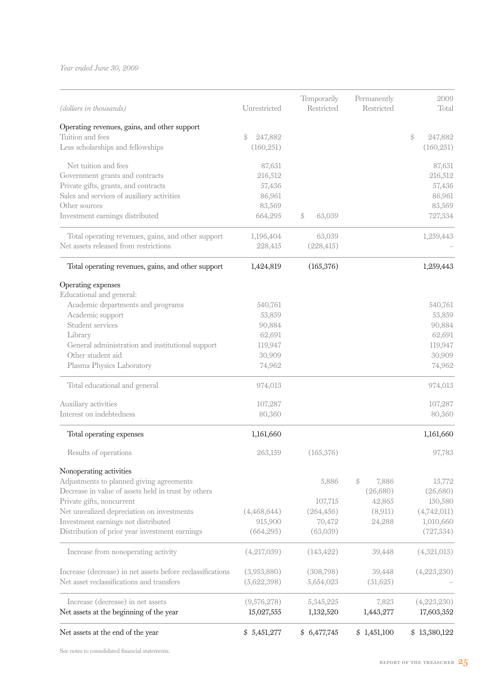*Year ended June 30, 2009*

| Net assets at the end of the year                                                                       | \$5,451,277                | \$6,477,745               | \$1,451,100               | \$13,380,122              |
|---------------------------------------------------------------------------------------------------------|----------------------------|---------------------------|---------------------------|---------------------------|
| Increase (decrease) in net assets<br>Net assets at the beginning of the year                            | (9,576,278)<br>15,027,555  | 5,345,225<br>1,132,520    | 7,823<br>1,443,277        | (4,223,230)<br>17,603,352 |
| Increase (decrease) in net assets before reclassifications<br>Net asset reclassifications and transfers | (3,953,880)<br>(5,622,398) | (308,798)<br>5,654,023    | 39,448<br>(31,625)        | (4,223,230)               |
| Increase from nonoperating activity                                                                     | (4,217,039)                | (143, 422)                | 39,448                    | (4,321,013)               |
| Distribution of prior year investment earnings                                                          | (664, 295)                 | (63,039)                  |                           | (727, 334)                |
| Investment earnings not distributed                                                                     |                            | 70,472                    | 24,288                    | 1,010,660                 |
| Net unrealized depreciation on investments                                                              | (4,468,644)<br>915,900     | (264, 456)                | (8,911)                   | (4,742,011)               |
| Private gifts, noncurrent                                                                               |                            | 107,715                   | 42,865                    | 150,580                   |
| Decrease in value of assets held in trust by others                                                     |                            |                           | (26,680)                  | (26,680)                  |
| Adjustments to planned giving agreements                                                                |                            | 5,886                     | $\mathcal{S}$<br>7,886    | 13,772                    |
| Nonoperating activities                                                                                 |                            |                           |                           |                           |
| Results of operations                                                                                   | 263,159                    | (165, 376)                |                           | 97,783                    |
| Total operating expenses                                                                                | 1,161,660                  |                           |                           | 1,161,660                 |
| Auxiliary activities<br>Interest on indebtedness                                                        | 107,287<br>80,360          |                           |                           | 107,287<br>80,360         |
| Total educational and general                                                                           | 974,013                    |                           |                           | 974,013                   |
| Plasma Physics Laboratory                                                                               | 74,962                     |                           |                           | 74,962                    |
| Other student aid                                                                                       | 30,909                     |                           |                           | 30,909                    |
| General administration and institutional support                                                        | 119,947                    |                           |                           | 119,947                   |
| Library                                                                                                 | 62,691                     |                           |                           | 62,691                    |
| Student services                                                                                        | 90,884                     |                           |                           | 90,884                    |
| Academic departments and programs<br>Academic support                                                   | 540,761<br>53,859          |                           |                           | 540,761<br>53,859         |
| Operating expenses<br>Educational and general:                                                          |                            |                           |                           |                           |
| Total operating revenues, gains, and other support                                                      | 1,424,819                  | (165, 376)                |                           | 1,259,443                 |
| Net assets released from restrictions                                                                   | 228,415                    | (228, 415)                |                           |                           |
| Total operating revenues, gains, and other support                                                      | 1,196,404                  | 63,039                    |                           | 1,259,443                 |
| Investment earnings distributed                                                                         | 664,295                    | \$<br>63,039              |                           | 727,334                   |
| Other sources                                                                                           | 83,569                     |                           |                           | 83,569                    |
| Sales and services of auxiliary activities                                                              | 86,961                     |                           |                           | 86,961                    |
| Private gifts, grants, and contracts                                                                    | 57,436                     |                           |                           | 57,436                    |
| Government grants and contracts                                                                         | 216,512                    |                           |                           | 216,512                   |
| Net tuition and fees                                                                                    | 87,631                     |                           |                           | 87,631                    |
| Less scholarships and fellowships                                                                       | (160, 251)                 |                           |                           | (160, 251)                |
| Operating revenues, gains, and other support<br>Tuition and fees                                        | 247,882<br>\$              |                           |                           | \$<br>247,882             |
|                                                                                                         |                            |                           |                           |                           |
| (dollars in thousands)                                                                                  | Unrestricted               | Temporarily<br>Restricted | Permanently<br>Restricted | 2009<br>Total             |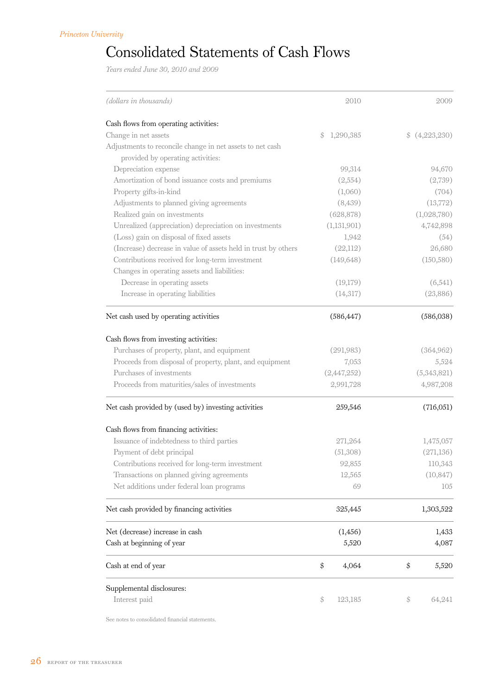## Consolidated Statements of Cash Flows

*Years ended June 30, 2010 and 2009*

| (dollars in thousands)                                         | 2010            | 2009         |
|----------------------------------------------------------------|-----------------|--------------|
| Cash flows from operating activities:                          |                 |              |
| Change in net assets                                           | 1,290,385<br>\$ | (4,223,230)  |
| Adjustments to reconcile change in net assets to net cash      |                 |              |
| provided by operating activities:                              |                 |              |
| Depreciation expense                                           | 99,314          | 94,670       |
| Amortization of bond issuance costs and premiums               | (2,554)         | (2,739)      |
| Property gifts-in-kind                                         | (1,060)         | (704)        |
| Adjustments to planned giving agreements                       | (8,439)         | (13,772)     |
| Realized gain on investments                                   | (628, 878)      | (1,028,780)  |
| Unrealized (appreciation) depreciation on investments          | (1, 131, 901)   | 4,742,898    |
| (Loss) gain on disposal of fixed assets                        | 1,942           | (54)         |
| (Increase) decrease in value of assets held in trust by others | (22,112)        | 26,680       |
| Contributions received for long-term investment                | (149, 648)      | (150, 580)   |
| Changes in operating assets and liabilities:                   |                 |              |
| Decrease in operating assets                                   | (19,179)        | (6,541)      |
| Increase in operating liabilities                              | (14,317)        | (23,886)     |
| Net cash used by operating activities                          | (586, 447)      | (586,038)    |
|                                                                |                 |              |
| Cash flows from investing activities:                          |                 |              |
| Purchases of property, plant, and equipment                    | (291,983)       | (364,962)    |
| Proceeds from disposal of property, plant, and equipment       | 7,053           | 5,524        |
| Purchases of investments                                       | (2,447,252)     | (5,343,821)  |
| Proceeds from maturities/sales of investments                  | 2,991,728       | 4,987,208    |
| Net cash provided by (used by) investing activities            | 259,546         | (716,051)    |
| Cash flows from financing activities:                          |                 |              |
| Issuance of indebtedness to third parties                      | 271,264         | 1,475,057    |
| Payment of debt principal                                      | (51,308)        | (271, 136)   |
| Contributions received for long-term investment                | 92,855          | 110,343      |
| Transactions on planned giving agreements                      | 12,565          | (10, 847)    |
| Net additions under federal loan programs                      | 69              | 105          |
| Net cash provided by financing activities                      | 325,445         | 1,303,522    |
|                                                                |                 |              |
| Net (decrease) increase in cash                                | (1, 456)        | 1,433        |
| Cash at beginning of year                                      | 5,520           | 4,087        |
| Cash at end of year                                            | \$<br>4,064     | \$<br>5,520  |
| Supplemental disclosures:                                      |                 |              |
| Interest paid                                                  | \$<br>123,185   | 64,241<br>\$ |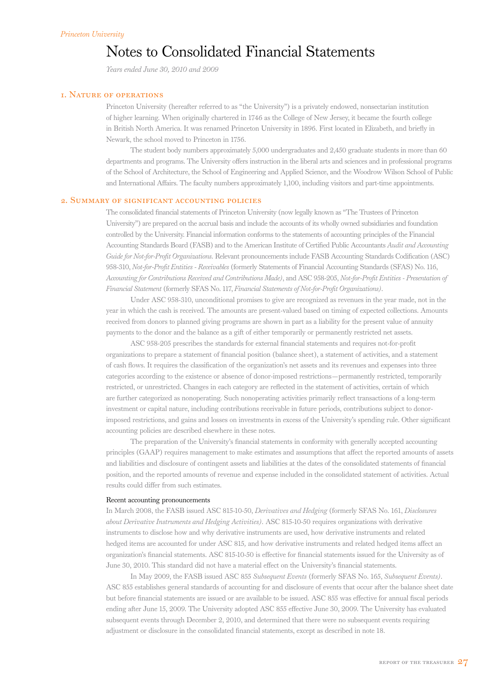## Notes to Consolidated Financial Statements

*Years ended June 30, 2010 and 2009*

### 1. Nature of operations

Princeton University (hereafter referred to as "the University") is a privately endowed, nonsectarian institution of higher learning. When originally chartered in 1746 as the College of New Jersey, it became the fourth college in British North America. It was renamed Princeton University in 1896. First located in Elizabeth, and briefly in Newark, the school moved to Princeton in 1756.

The student body numbers approximately 5,000 undergraduates and 2,450 graduate students in more than 60 departments and programs. The University offers instruction in the liberal arts and sciences and in professional programs of the School of Architecture, the School of Engineering and Applied Science, and the Woodrow Wilson School of Public and International Affairs. The faculty numbers approximately 1,100, including visitors and part-time appointments.

### 2. Summary of significant accounting policies

The consolidated financial statements of Princeton University (now legally known as "The Trustees of Princeton University") are prepared on the accrual basis and include the accounts of its wholly owned subsidiaries and foundation controlled by the University. Financial information conforms to the statements of accounting principles of the Financial Accounting Standards Board (FASB) and to the American Institute of Certified Public Accountants *Audit and Accounting Guide for Not-for-Profit Organizations.* Relevant pronouncements include FASB Accounting Standards Codification (ASC) 958-310, *Not-for-Profit Entities - Receivables* (formerly Statements of Financial Accounting Standards (SFAS) No. 116, *Accounting for Contributions Received and Contributions Made)*, and ASC 958-205, *Not-for-Profit Entities - Presentation of Financial Statement* (formerly SFAS No. 117, *Financial Statements of Not-for-Profit Organizations)*.

Under ASC 958-310, unconditional promises to give are recognized as revenues in the year made, not in the year in which the cash is received. The amounts are present-valued based on timing of expected collections. Amounts received from donors to planned giving programs are shown in part as a liability for the present value of annuity payments to the donor and the balance as a gift of either temporarily or permanently restricted net assets.

ASC 958-205 prescribes the standards for external financial statements and requires not-for-profit organizations to prepare a statement of financial position (balance sheet), a statement of activities, and a statement of cash flows. It requires the classification of the organization's net assets and its revenues and expenses into three categories according to the existence or absence of donor-imposed restrictions—permanently restricted, temporarily restricted, or unrestricted. Changes in each category are reflected in the statement of activities, certain of which are further categorized as nonoperating. Such nonoperating activities primarily reflect transactions of a long-term investment or capital nature, including contributions receivable in future periods, contributions subject to donorimposed restrictions, and gains and losses on investments in excess of the University's spending rule. Other significant accounting policies are described elsewhere in these notes.

The preparation of the University's financial statements in conformity with generally accepted accounting principles (GAAP) requires management to make estimates and assumptions that affect the reported amounts of assets and liabilities and disclosure of contingent assets and liabilities at the dates of the consolidated statements of financial position, and the reported amounts of revenue and expense included in the consolidated statement of activities. Actual results could differ from such estimates.

### Recent accounting pronouncements

In March 2008, the FASB issued ASC 815-10-50, *Derivatives and Hedging* (formerly SFAS No. 161, *Disclosures about Derivative Instruments and Hedging Activities).* ASC 815-10-50 requires organizations with derivative instruments to disclose how and why derivative instruments are used, how derivative instruments and related hedged items are accounted for under ASC 815*,* and how derivative instruments and related hedged items affect an organization's financial statements. ASC 815-10-50 is effective for financial statements issued for the University as of June 30, 2010. This standard did not have a material effect on the University's financial statements.

In May 2009, the FASB issued ASC 855 *Subsequent Events* (formerly SFAS No. 165, *Subsequent Events)*. ASC 855 establishes general standards of accounting for and disclosure of events that occur after the balance sheet date but before financial statements are issued or are available to be issued. ASC 855 was effective for annual fiscal periods ending after June 15, 2009. The University adopted ASC 855 effective June 30, 2009. The University has evaluated subsequent events through December 2, 2010, and determined that there were no subsequent events requiring adjustment or disclosure in the consolidated financial statements, except as described in note 18.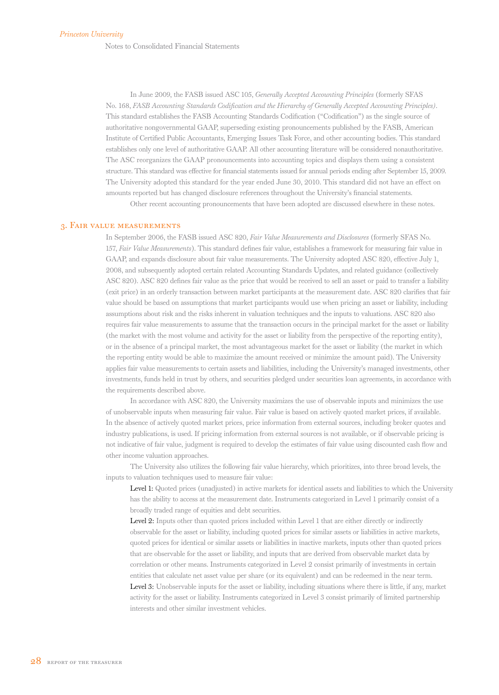Notes to Consolidated Financial Statements

In June 2009, the FASB issued ASC 105, *Generally Accepted Accounting Principles* (formerly SFAS No. 168, *FASB Accounting Standards Codification and the Hierarchy of Generally Accepted Accounting Principles)*. This standard establishes the FASB Accounting Standards Codification ("Codification") as the single source of authoritative nongovernmental GAAP, superseding existing pronouncements published by the FASB, American Institute of Certified Public Accountants, Emerging Issues Task Force, and other accounting bodies. This standard establishes only one level of authoritative GAAP. All other accounting literature will be considered nonauthoritative. The ASC reorganizes the GAAP pronouncements into accounting topics and displays them using a consistent structure. This standard was effective for financial statements issued for annual periods ending after September 15, 2009. The University adopted this standard for the year ended June 30, 2010. This standard did not have an effect on amounts reported but has changed disclosure references throughout the University's financial statements. Other recent accounting pronouncements that have been adopted are discussed elsewhere in these notes.

### 3. Fair value measurements

In September 2006, the FASB issued ASC 820, *Fair Value Measurements and Disclosures* (formerly SFAS No. 157, *Fair Value Measurements*). This standard defines fair value, establishes a framework for measuring fair value in GAAP, and expands disclosure about fair value measurements. The University adopted ASC 820, effective July 1, 2008, and subsequently adopted certain related Accounting Standards Updates, and related guidance (collectively ASC 820). ASC 820 defines fair value as the price that would be received to sell an asset or paid to transfer a liability (exit price) in an orderly transaction between market participants at the measurement date. ASC 820 clarifies that fair value should be based on assumptions that market participants would use when pricing an asset or liability, including assumptions about risk and the risks inherent in valuation techniques and the inputs to valuations. ASC 820 also requires fair value measurements to assume that the transaction occurs in the principal market for the asset or liability (the market with the most volume and activity for the asset or liability from the perspective of the reporting entity), or in the absence of a principal market, the most advantageous market for the asset or liability (the market in which the reporting entity would be able to maximize the amount received or minimize the amount paid). The University applies fair value measurements to certain assets and liabilities, including the University's managed investments, other investments, funds held in trust by others, and securities pledged under securities loan agreements, in accordance with the requirements described above.

In accordance with ASC 820, the University maximizes the use of observable inputs and minimizes the use of unobservable inputs when measuring fair value. Fair value is based on actively quoted market prices, if available. In the absence of actively quoted market prices, price information from external sources, including broker quotes and industry publications, is used. If pricing information from external sources is not available, or if observable pricing is not indicative of fair value, judgment is required to develop the estimates of fair value using discounted cash flow and other income valuation approaches.

The University also utilizes the following fair value hierarchy, which prioritizes, into three broad levels, the inputs to valuation techniques used to measure fair value:

Level 1: Quoted prices (unadjusted) in active markets for identical assets and liabilities to which the University has the ability to access at the measurement date. Instruments categorized in Level 1 primarily consist of a broadly traded range of equities and debt securities.

Level 2: Inputs other than quoted prices included within Level 1 that are either directly or indirectly observable for the asset or liability, including quoted prices for similar assets or liabilities in active markets, quoted prices for identical or similar assets or liabilities in inactive markets, inputs other than quoted prices that are observable for the asset or liability, and inputs that are derived from observable market data by correlation or other means. Instruments categorized in Level 2 consist primarily of investments in certain entities that calculate net asset value per share (or its equivalent) and can be redeemed in the near term. Level 3: Unobservable inputs for the asset or liability, including situations where there is little, if any, market activity for the asset or liability. Instruments categorized in Level 3 consist primarily of limited partnership interests and other similar investment vehicles.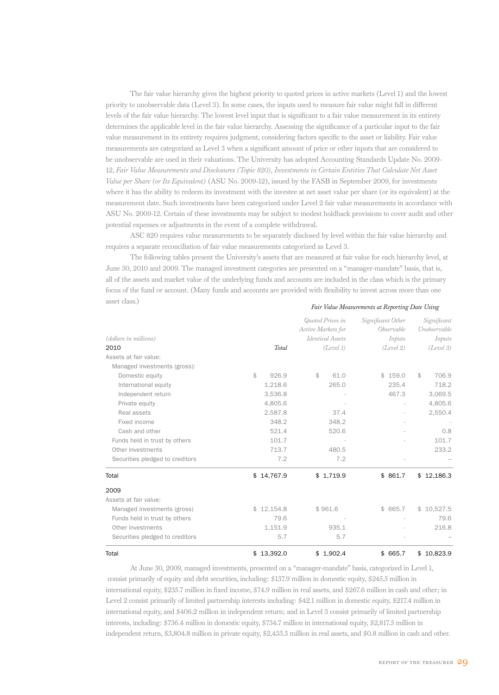The fair value hierarchy gives the highest priority to quoted prices in active markets (Level 1) and the lowest priority to unobservable data (Level 3). In some cases, the inputs used to measure fair value might fall in different levels of the fair value hierarchy. The lowest level input that is significant to a fair value measurement in its entirety determines the applicable level in the fair value hierarchy. Assessing the significance of a particular input to the fair value measurement in its entirety requires judgment, considering factors specific to the asset or liability. Fair value measurements are categorized as Level 3 when a significant amount of price or other inputs that are considered to be unobservable are used in their valuations. The University has adopted Accounting Standards Update No. 2009- 12, *Fair Value Measurements and Disclosures (Topic 820), Investments in Certain Entities That Calculate Net Asset Value per Share (or Its Equivalent)* (ASU No. 2009-12), issued by the FASB in September 2009, for investments where it has the ability to redeem its investment with the investee at net asset value per share (or its equivalent) at the measurement date. Such investments have been categorized under Level 2 fair value measurements in accordance with ASU No. 2009-12. Certain of these investments may be subject to modest holdback provisions to cover audit and other potential expenses or adjustments in the event of a complete withdrawal.

ASC 820 requires value measurements to be separately disclosed by level within the fair value hierarchy and requires a separate reconciliation of fair value measurements categorized as Level 3.

The following tables present the University's assets that are measured at fair value for each hierarchy level, at June 30, 2010 and 2009. The managed investment categories are presented on a "manager-mandate" basis, that is, all of the assets and market value of the underlying funds and accounts are included in the class which is the primary focus of the fund or account. (Many funds and accounts are provided with flexibility to invest across more than one asset class.)  *Fair Value Measurements at Reporting Date Using*

|                                 |            |              | Active Markets for | Quoted Prices in | Significant Other | <i>Observable</i> | Significant<br>Unobservable |
|---------------------------------|------------|--------------|--------------------|------------------|-------------------|-------------------|-----------------------------|
| (dollars in millions)           |            |              |                    | Identical Assets |                   | Inputs            | Inputs                      |
| 2010                            |            | <b>Total</b> |                    | (Level 1)        |                   | (Level 2)         | (Level 3)                   |
| Assets at fair value:           |            |              |                    |                  |                   |                   |                             |
| Managed investments (gross):    |            |              |                    |                  |                   |                   |                             |
| Domestic equity                 | \$         | 926.9        | \$                 | 61.0             |                   | \$159.0           | \$<br>706.9                 |
| International equity            |            | 1,218.6      |                    | 265.0            |                   | 235.4             | 718.2                       |
| Independent return              |            | 3,536.8      |                    |                  |                   | 467.3             | 3,069.5                     |
| Private equity                  |            | 4,805.6      |                    |                  |                   |                   | 4,805.6                     |
| Real assets                     |            | 2,587.8      |                    | 37.4             |                   |                   | 2,550.4                     |
| Fixed income                    |            | 348.2        |                    | 348.2            |                   |                   |                             |
| Cash and other                  |            | 521.4        |                    | 520.6            |                   |                   | 0.8                         |
| Funds held in trust by others   |            | 101.7        |                    |                  |                   |                   | 101.7                       |
| Other investments               |            | 713.7        |                    | 480.5            |                   |                   | 233.2                       |
| Securities pledged to creditors |            | 7.2          |                    | 7.2              |                   |                   |                             |
| Total                           | \$14,767.9 |              |                    | \$1,719.9        |                   | \$861.7           | \$12,186.3                  |
| 2009                            |            |              |                    |                  |                   |                   |                             |
| Assets at fair value:           |            |              |                    |                  |                   |                   |                             |
| Managed investments (gross)     | \$12,154.8 |              |                    | \$961.6          |                   | \$665.7           | \$10,527.5                  |
| Funds held in trust by others   |            | 79.6         |                    |                  |                   |                   | 79.6                        |
| Other investments               |            | 1,151.9      |                    | 935.1            |                   |                   | 216.8                       |
| Securities pledged to creditors |            | 5.7          |                    | 5.7              |                   |                   |                             |
| Total                           | \$13,392.0 |              |                    | \$1,902.4        |                   | \$665.7           | \$10,823.9                  |

At June 30, 2009, managed investments, presented on a "manager-mandate" basis, categorized in Level 1, consist primarily of equity and debt securities, including: \$137.9 million in domestic equity, \$245.5 million in international equity, \$235.7 million in fixed income, \$74.9 million in real assets, and \$267.6 million in cash and other; in Level 2 consist primarily of limited partnership interests including: \$42.1 million in domestic equity, \$217.4 million in international equity, and \$406.2 million in independent return; and in Level 3 consist primarily of limited partnership interests, including: \$736.4 million in domestic equity, \$734.7 million in international equity, \$2,817.5 million in independent return, \$3,804.8 million in private equity, \$2,433.3 million in real assets, and \$0.8 million in cash and other.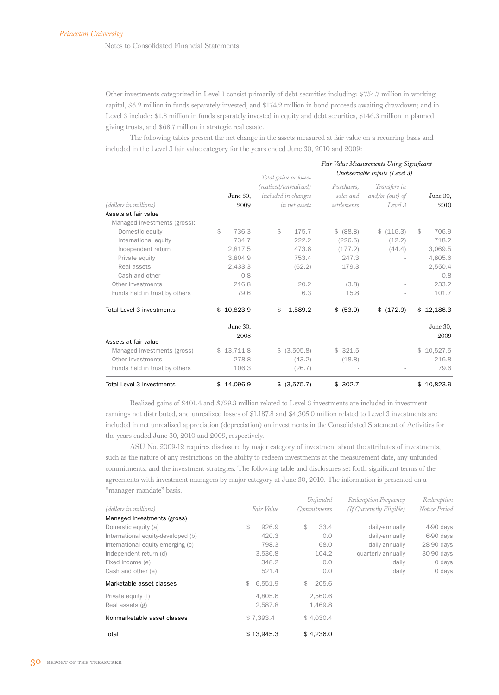Notes to Consolidated Financial Statements

Other investments categorized in Level 1 consist primarily of debt securities including: \$754.7 million in working capital, \$6.2 million in funds separately invested, and \$174.2 million in bond proceeds awaiting drawdown; and in Level 3 include: \$1.8 million in funds separately invested in equity and debt securities, \$146.3 million in planned giving trusts, and \$68.7 million in strategic real estate.

The following tables present the net change in the assets measured at fair value on a recurring basis and included in the Level 3 fair value category for the years ended June 30, 2010 and 2009:

|                               |    |            |    |                       |             | Fair Value Measurements Using Significant |                |
|-------------------------------|----|------------|----|-----------------------|-------------|-------------------------------------------|----------------|
|                               |    |            |    | Total gains or losses |             | Unobservable Inputs (Level 3)             |                |
|                               |    |            |    | (realized/unrealized) | Purchases,  | Transfers in                              |                |
|                               |    | June 30,   |    | included in changes   | sales and   | $and/or$ (out) of                         | June 30,       |
| (dollars in millions)         |    | 2009       |    | in net assets         | settlements | Level 3                                   | 2010           |
| Assets at fair value          |    |            |    |                       |             |                                           |                |
| Managed investments (gross):  |    |            |    |                       |             |                                           |                |
| Domestic equity               | \$ | 736.3      | \$ | 175.7                 | \$ (88.8)   | (116.3)<br>\$                             | 706.9<br>\$    |
| International equity          |    | 734.7      |    | 222.2                 | (226.5)     | (12.2)                                    | 718.2          |
| Independent return            |    | 2,817.5    |    | 473.6                 | (177.2)     | (44.4)                                    | 3,069.5        |
| Private equity                |    | 3,804.9    |    | 753.4                 | 247.3       |                                           | 4,805.6        |
| Real assets                   |    | 2,433.3    |    | (62.2)                | 179.3       |                                           | 2,550.4        |
| Cash and other                |    | 0.8        |    |                       |             |                                           | 0.8            |
| Other investments             |    | 216.8      |    | 20.2                  | (3.8)       |                                           | 233.2          |
| Funds held in trust by others |    | 79.6       |    | 6.3                   | 15.8        |                                           | 101.7          |
| Total Level 3 investments     |    | \$10,823.9 | \$ | 1,589.2               | \$ (53.9)   | \$ (172.9)                                | 12,186.3<br>\$ |
|                               |    | June 30,   |    |                       |             |                                           | June 30,       |
|                               |    | 2008       |    |                       |             |                                           | 2009           |
| Assets at fair value          |    |            |    |                       |             |                                           |                |
| Managed investments (gross)   |    | \$13,711.8 |    | \$ (3,505.8)          | \$321.5     |                                           | \$10,527.5     |
| Other investments             |    | 278.8      |    | (43.2)                | (18.8)      |                                           | 216.8          |
| Funds held in trust by others |    | 106.3      |    | (26.7)                |             |                                           | 79.6           |
| Total Level 3 investments     |    | \$14,096.9 | \$ | (3,575.7)             | \$302.7     | $\blacksquare$                            | \$10,823.9     |

Realized gains of \$401.4 and \$729.3 million related to Level 3 investments are included in investment earnings not distributed, and unrealized losses of \$1,187.8 and \$4,305.0 million related to Level 3 investments are included in net unrealized appreciation (depreciation) on investments in the Consolidated Statement of Activities for the years ended June 30, 2010 and 2009, respectively.

ASU No. 2009-12 requires disclosure by major category of investment about the attributes of investments, such as the nature of any restrictions on the ability to redeem investments at the measurement date, any unfunded commitments, and the investment strategies. The following table and disclosures set forth significant terms of the agreements with investment managers by major category at June 30, 2010. The information is presented on a "manager-mandate" basis.

| Total                                 | \$13,945.3         | \$4,236.0          |                          |               |
|---------------------------------------|--------------------|--------------------|--------------------------|---------------|
| Nonmarketable asset classes           | \$7.393.4          | \$4.030.4          |                          |               |
| Private equity (f)<br>Real assets (g) | 4.805.6<br>2,587.8 | 2,560.6<br>1,469.8 |                          |               |
| Marketable asset classes              | 6,551.9<br>\$      | 205.6<br>\$        |                          |               |
| Cash and other (e)                    | 521.4              | 0.0                | daily                    | 0 days        |
| Fixed income (e)                      | 348.2              | 0.0                | daily                    | 0 days        |
| Independent return (d)                | 3,536.8            | 104.2              | quarterly-annually       | 30-90 days    |
| International equity-emerging (c)     | 798.3              | 68.0               | daily-annually           | 28-90 days    |
| International equity-developed (b)    | 420.3              | 0.0                | daily-annually           | 6-90 days     |
| Domestic equity (a)                   | \$<br>926.9        | \$<br>33.4         | daily-annually           | 4-90 days     |
| Managed investments (gross)           |                    |                    |                          |               |
| (dollars in millions)                 | Fair Value         | <i>Commitments</i> | (If Currenctly Eligible) | Notice Period |
|                                       |                    | Unfunded           | Redemption Frequency     | Redemption    |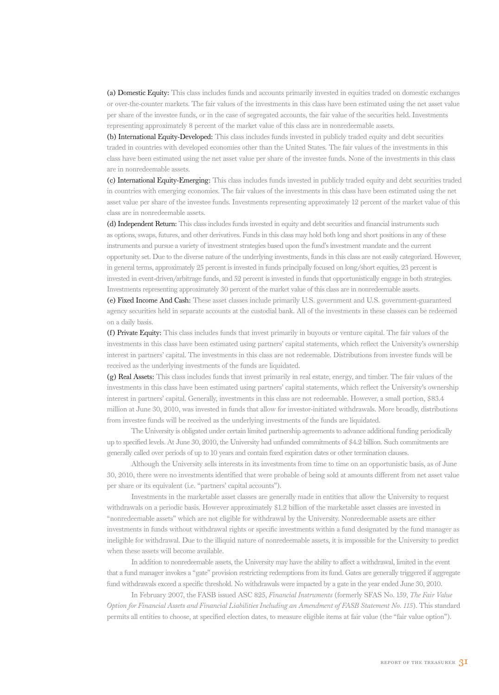(a) Domestic Equity: This class includes funds and accounts primarily invested in equities traded on domestic exchanges or over-the-counter markets. The fair values of the investments in this class have been estimated using the net asset value per share of the investee funds, or in the case of segregated accounts, the fair value of the securities held. Investments representing approximately 8 percent of the market value of this class are in nonredeemable assets.

(b) International Equity-Developed: This class includes funds invested in publicly traded equity and debt securities traded in countries with developed economies other than the United States. The fair values of the investments in this class have been estimated using the net asset value per share of the investee funds. None of the investments in this class are in nonredeemable assets.

(c) International Equity-Emerging: This class includes funds invested in publicly traded equity and debt securities traded in countries with emerging economies. The fair values of the investments in this class have been estimated using the net asset value per share of the investee funds. Investments representing approximately 12 percent of the market value of this class are in nonredeemable assets.

(d) Independent Return: This class includes funds invested in equity and debt securities and financial instruments such as options, swaps, futures, and other derivatives. Funds in this class may hold both long and short positions in any of these instruments and pursue a variety of investment strategies based upon the fund's investment mandate and the current opportunity set. Due to the diverse nature of the underlying investments, funds in this class are not easily categorized. However, in general terms, approximately 25 percent is invested in funds principally focused on long/short equities, 23 percent is invested in event-driven/arbitrage funds, and 52 percent is invested in funds that opportunistically engage in both strategies. Investments representing approximately 30 percent of the market value of this class are in nonredeemable assets.

(e) Fixed Income And Cash: These asset classes include primarily U.S. government and U.S. government-guaranteed agency securities held in separate accounts at the custodial bank. All of the investments in these classes can be redeemed on a daily basis.

(f) Private Equity: This class includes funds that invest primarily in buyouts or venture capital. The fair values of the investments in this class have been estimated using partners' capital statements, which reflect the University's ownership interest in partners' capital. The investments in this class are not redeemable. Distributions from investee funds will be received as the underlying investments of the funds are liquidated.

(g) Real Assets: This class includes funds that invest primarily in real estate, energy, and timber. The fair values of the investments in this class have been estimated using partners' capital statements, which reflect the University's ownership interest in partners' capital. Generally, investments in this class are not redeemable. However, a small portion, \$83.4 million at June 30, 2010, was invested in funds that allow for investor-initiated withdrawals. More broadly, distributions from investee funds will be received as the underlying investments of the funds are liquidated.

The University is obligated under certain limited partnership agreements to advance additional funding periodically up to specified levels. At June 30, 2010, the University had unfunded commitments of \$4.2 billion. Such commitments are generally called over periods of up to 10 years and contain fixed expiration dates or other termination clauses.

Although the University sells interests in its investments from time to time on an opportunistic basis, as of June 30, 2010, there were no investments identified that were probable of being sold at amounts different from net asset value per share or its equivalent (i.e. "partners' capital accounts").

Investments in the marketable asset classes are generally made in entities that allow the University to request withdrawals on a periodic basis. However approximately \$1.2 billion of the marketable asset classes are invested in "nonredeemable assets" which are not eligible for withdrawal by the University. Nonredeemable assets are either investments in funds without withdrawal rights or specific investments within a fund designated by the fund manager as ineligible for withdrawal. Due to the illiquid nature of nonredeemable assets, it is impossible for the University to predict when these assets will become available.

In addition to nonredeemable assets, the University may have the ability to affect a withdrawal, limited in the event that a fund manager invokes a "gate" provision restricting redemptions from its fund. Gates are generally triggered if aggregate fund withdrawals exceed a specific threshold. No withdrawals were impacted by a gate in the year ended June 30, 2010.

In February 2007, the FASB issued ASC 825, *Financial Instruments* (formerly SFAS No. 159, *The Fair Value Option for Financial Assets and Financial Liabilities Including an Amendment of FASB Statement No. 115*). This standard permits all entities to choose, at specified election dates, to measure eligible items at fair value (the "fair value option").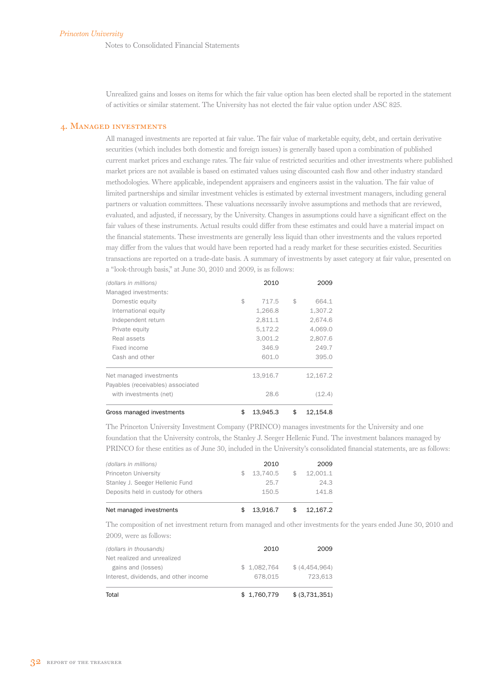Notes to Consolidated Financial Statements

Unrealized gains and losses on items for which the fair value option has been elected shall be reported in the statement of activities or similar statement. The University has not elected the fair value option under ASC 825.

### 4. Managed investments

All managed investments are reported at fair value. The fair value of marketable equity, debt, and certain derivative securities (which includes both domestic and foreign issues) is generally based upon a combination of published current market prices and exchange rates. The fair value of restricted securities and other investments where published market prices are not available is based on estimated values using discounted cash flow and other industry standard methodologies. Where applicable, independent appraisers and engineers assist in the valuation. The fair value of limited partnerships and similar investment vehicles is estimated by external investment managers, including general partners or valuation committees. These valuations necessarily involve assumptions and methods that are reviewed, evaluated, and adjusted, if necessary, by the University. Changes in assumptions could have a significant effect on the fair values of these instruments. Actual results could differ from these estimates and could have a material impact on the financial statements. These investments are generally less liquid than other investments and the values reported may differ from the values that would have been reported had a ready market for these securities existed. Securities transactions are reported on a trade-date basis. A summary of investments by asset category at fair value, presented on a "look-through basis," at June 30, 2010 and 2009, is as follows:

| (dollars in millions)             | 2010           | 2009           |
|-----------------------------------|----------------|----------------|
| Managed investments:              |                |                |
| Domestic equity                   | \$<br>717.5    | \$<br>664.1    |
| International equity              | 1,266.8        | 1,307.2        |
| Independent return                | 2,811.1        | 2,674.6        |
| Private equity                    | 5,172.2        | 4,069.0        |
| Real assets                       | 3.001.2        | 2,807.6        |
| Fixed income                      | 346.9          | 249.7          |
| Cash and other                    | 601.0          | 395.0          |
| Net managed investments           | 13,916.7       | 12,167.2       |
| Payables (receivables) associated |                |                |
| with investments (net)            | 28.6           | (12.4)         |
| Gross managed investments         | \$<br>13.945.3 | \$<br>12.154.8 |

The Princeton University Investment Company (PRINCO) manages investments for the University and one foundation that the University controls, the Stanley J. Seeger Hellenic Fund. The investment balances managed by PRINCO for these entities as of June 30, included in the University's consolidated financial statements, are as follows:

| Net managed investments             |              | 13.916.7 | \$<br>12.167.2 |
|-------------------------------------|--------------|----------|----------------|
| Deposits held in custody for others |              | 150.5    | 141.8          |
| Stanley J. Seeger Hellenic Fund     |              | 25.7     | 24.3           |
| Princeton University                | $\mathbb{S}$ | 13.740.5 | \$<br>12.001.1 |
| (dollars in millions)               |              | 2010     | 2009           |
|                                     |              |          |                |

The composition of net investment return from managed and other investments for the years ended June 30, 2010 and 2009, were as follows:

| Total                                 | \$1,760,779 | \$ (3,731,351) |
|---------------------------------------|-------------|----------------|
| Interest, dividends, and other income | 678.015     | 723.613        |
| gains and (losses)                    | \$1,082,764 | \$ (4,454,964) |
| Net realized and unrealized           |             |                |
| (dollars in thousands)                | 2010        | 2009           |
|                                       |             |                |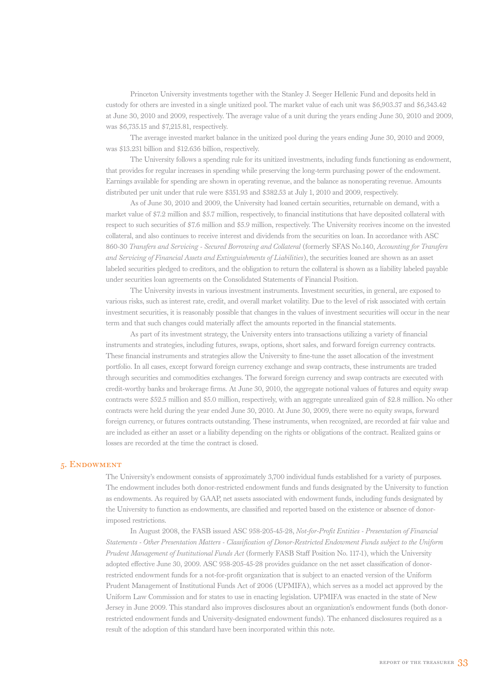Princeton University investments together with the Stanley J. Seeger Hellenic Fund and deposits held in custody for others are invested in a single unitized pool. The market value of each unit was \$6,903.37 and \$6,343.42 at June 30, 2010 and 2009, respectively. The average value of a unit during the years ending June 30, 2010 and 2009, was \$6,735.15 and \$7,215.81, respectively.

The average invested market balance in the unitized pool during the years ending June 30, 2010 and 2009, was \$13.231 billion and \$12.636 billion, respectively.

The University follows a spending rule for its unitized investments, including funds functioning as endowment, that provides for regular increases in spending while preserving the long-term purchasing power of the endowment. Earnings available for spending are shown in operating revenue, and the balance as nonoperating revenue. Amounts distributed per unit under that rule were \$351.93 and \$382.53 at July 1, 2010 and 2009, respectively.

As of June 30, 2010 and 2009, the University had loaned certain securities, returnable on demand, with a market value of \$7.2 million and \$5.7 million, respectively, to financial institutions that have deposited collateral with respect to such securities of \$7.6 million and \$5.9 million, respectively. The University receives income on the invested collateral, and also continues to receive interest and dividends from the securities on loan. In accordance with ASC 860-30 *Transfers and Servicing - Secured Borrowing and Collateral* (formerly SFAS No.140, *Accounting for Transfers and Servicing of Financial Assets and Extinguishments of Liabilities*), the securities loaned are shown as an asset labeled securities pledged to creditors, and the obligation to return the collateral is shown as a liability labeled payable under securities loan agreements on the Consolidated Statements of Financial Position.

The University invests in various investment instruments. Investment securities, in general, are exposed to various risks, such as interest rate, credit, and overall market volatility. Due to the level of risk associated with certain investment securities, it is reasonably possible that changes in the values of investment securities will occur in the near term and that such changes could materially affect the amounts reported in the financial statements.

As part of its investment strategy, the University enters into transactions utilizing a variety of financial instruments and strategies, including futures, swaps, options, short sales, and forward foreign currency contracts. These financial instruments and strategies allow the University to fine-tune the asset allocation of the investment portfolio. In all cases, except forward foreign currency exchange and swap contracts, these instruments are traded through securities and commodities exchanges. The forward foreign currency and swap contracts are executed with credit-worthy banks and brokerage firms. At June 30, 2010, the aggregate notional values of futures and equity swap contracts were \$52.5 million and \$5.0 million, respectively, with an aggregate unrealized gain of \$2.8 million. No other contracts were held during the year ended June 30, 2010. At June 30, 2009, there were no equity swaps, forward foreign currency, or futures contracts outstanding. These instruments, when recognized, are recorded at fair value and are included as either an asset or a liability depending on the rights or obligations of the contract. Realized gains or losses are recorded at the time the contract is closed.

### 5. Endowment

The University's endowment consists of approximately 3,700 individual funds established for a variety of purposes. The endowment includes both donor-restricted endowment funds and funds designated by the University to function as endowments. As required by GAAP, net assets associated with endowment funds, including funds designated by the University to function as endowments, are classified and reported based on the existence or absence of donorimposed restrictions.

In August 2008, the FASB issued ASC 958-205-45-28, *Not-for-Profit Entities - Presentation of Financial Statements - Other Presentation Matters - Classification of Donor-Restricted Endowment Funds subject to the Uniform Prudent Management of Institutional Funds Act* (formerly FASB Staff Position No. 117-1), which the University adopted effective June 30, 2009. ASC 958-205-45-28 provides guidance on the net asset classification of donorrestricted endowment funds for a not-for-profit organization that is subject to an enacted version of the Uniform Prudent Management of Institutional Funds Act of 2006 (UPMIFA), which serves as a model act approved by the Uniform Law Commission and for states to use in enacting legislation. UPMIFA was enacted in the state of New Jersey in June 2009. This standard also improves disclosures about an organization's endowment funds (both donorrestricted endowment funds and University-designated endowment funds). The enhanced disclosures required as a result of the adoption of this standard have been incorporated within this note.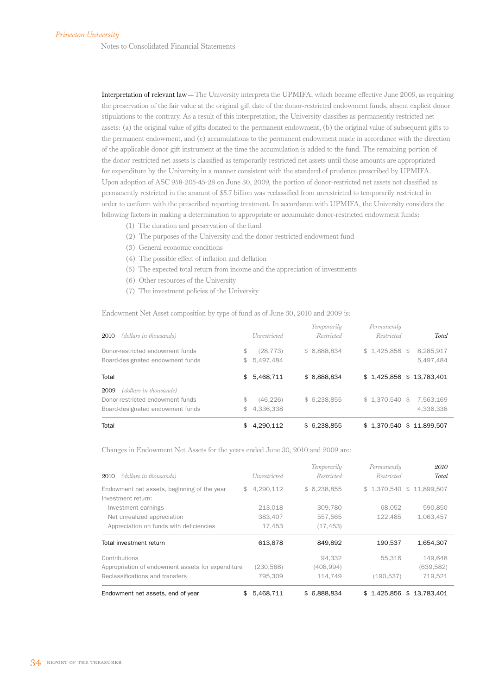Notes to Consolidated Financial Statements

Interpretation of relevant law—The University interprets the UPMIFA, which became effective June 2009, as requiring the preservation of the fair value at the original gift date of the donor-restricted endowment funds, absent explicit donor stipulations to the contrary. As a result of this interpretation, the University classifies as permanently restricted net assets: (a) the original value of gifts donated to the permanent endowment, (b) the original value of subsequent gifts to the permanent endowment, and (c) accumulations to the permanent endowment made in accordance with the direction of the applicable donor gift instrument at the time the accumulation is added to the fund. The remaining portion of the donor-restricted net assets is classified as temporarily restricted net assets until those amounts are appropriated for expenditure by the University in a manner consistent with the standard of prudence prescribed by UPMIFA. Upon adoption of ASC 958-205-45-28 on June 30, 2009, the portion of donor-restricted net assets not classified as permanently restricted in the amount of \$5.7 billion was reclassified from unrestricted to temporarily restricted in order to conform with the prescribed reporting treatment. In accordance with UPMIFA, the University considers the following factors in making a determination to appropriate or accumulate donor-restricted endowment funds:

- (1) The duration and preservation of the fund
- (2) The purposes of the University and the donor-restricted endowment fund
- (3) General economic conditions
- (4) The possible effect of inflation and deflation
- (5) The expected total return from income and the appreciation of investments
- (6) Other resources of the University
- (7) The investment policies of the University

Endowment Net Asset composition by type of fund as of June 30, 2010 and 2009 is:

| Total                                                                | \$.               | 4.290.112              | \$6.238.855                      | \$1.370.540                | \$11.899.507           |
|----------------------------------------------------------------------|-------------------|------------------------|----------------------------------|----------------------------|------------------------|
| Board-designated endowment funds                                     | \$                | 4,336,338              |                                  |                            | 4,336,338              |
| (dollars in thousands)<br>2009<br>Donor-restricted endowment funds   | \$                | (46.226)               | \$6,238,855                      | $$1.370.540$ \$            | 7.563.169              |
| Total                                                                | \$                | 5,468,711              | \$ 6,888,834                     | $$1,425,856$ $$13,783,401$ |                        |
| Donor-restricted endowment funds<br>Board-designated endowment funds | S<br>$\mathbb{S}$ | (28, 773)<br>5,497,484 | \$6,888,834                      | $$1,425,856$ \$            | 8,285,917<br>5.497.484 |
| (dollars in thousands)<br>2010                                       |                   | <i>Unrestricted</i>    | Temporarily<br><b>Restricted</b> | Permanently<br>Restricted  | <b>Total</b>           |

Changes in Endowment Net Assets for the years ended June 30, 2010 and 2009 are:

| (dollars in thousands)<br>2010                    | Unrestricted    | Temporarily<br><i>Restricted</i> | Permanently<br>Restricted | 2010<br>Total            |
|---------------------------------------------------|-----------------|----------------------------------|---------------------------|--------------------------|
| Endowment net assets, beginning of the year       | 4,290,112<br>\$ | \$6,238,855                      |                           | \$1,370,540 \$11,899,507 |
| Investment return:                                |                 |                                  |                           |                          |
| Investment earnings                               | 213,018         | 309,780                          | 68.052                    | 590.850                  |
| Net unrealized appreciation                       | 383.407         | 557,565                          | 122.485                   | 1,063,457                |
| Appreciation on funds with deficiencies           | 17,453          | (17, 453)                        |                           |                          |
| Total investment return                           | 613,878         | 849.892                          | 190,537                   | 1,654,307                |
| Contributions                                     |                 | 94.332                           | 55,316                    | 149,648                  |
| Appropriation of endowment assets for expenditure | (230, 588)      | (408, 994)                       |                           | (639, 582)               |
| Reclassifications and transfers                   | 795,309         | 114,749                          | (190, 537)                | 719,521                  |
| Endowment net assets, end of year                 | 5.468.711<br>\$ | \$ 6.888.834                     | \$1.425.856               | \$13,783,401             |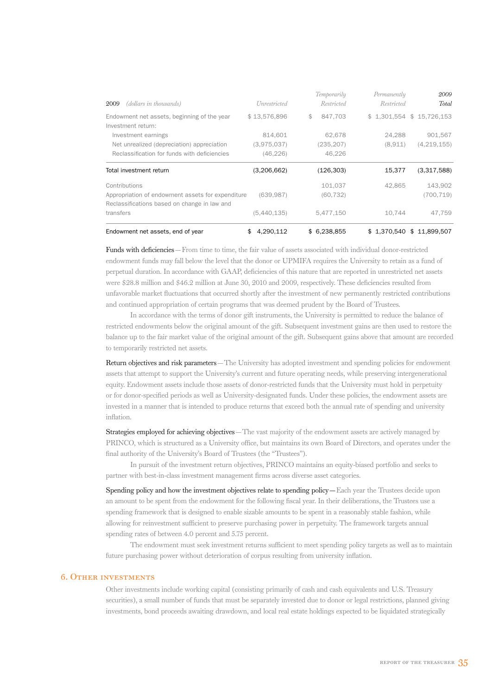| (dollars in thousands)<br>2009                                    | <i>Unrestricted</i> | Temporarily<br>Restricted | Permanently<br><i>Restricted</i> | 2009<br>Total              |
|-------------------------------------------------------------------|---------------------|---------------------------|----------------------------------|----------------------------|
| Endowment net assets, beginning of the year<br>Investment return: | \$13,576,896        | \$<br>847.703             |                                  | $$1,301,554$ $$15,726,153$ |
| Investment earnings                                               | 814.601             | 62,678                    | 24.288                           | 901,567                    |
| Net unrealized (depreciation) appreciation                        | (3,975,037)         | (235, 207)                | (8,911)                          | (4, 219, 155)              |
| Reclassification for funds with deficiencies                      | (46, 226)           | 46.226                    |                                  |                            |
| Total investment return                                           | (3,206,662)         | (126, 303)                | 15,377                           | (3,317,588)                |
| Contributions                                                     |                     | 101,037                   | 42,865                           | 143,902                    |
|                                                                   |                     |                           |                                  |                            |
| Appropriation of endowment assets for expenditure                 | (639, 987)          | (60, 732)                 |                                  | (700, 719)                 |
| Reclassifications based on change in law and                      |                     |                           |                                  |                            |
| transfers                                                         | (5,440,135)         | 5,477,150                 | 10,744                           | 47,759                     |

Funds with deficiencies—From time to time, the fair value of assets associated with individual donor-restricted endowment funds may fall below the level that the donor or UPMIFA requires the University to retain as a fund of perpetual duration. In accordance with GAAP, deficiencies of this nature that are reported in unrestricted net assets were \$28.8 million and \$46.2 million at June 30, 2010 and 2009, respectively. These deficiencies resulted from unfavorable market fluctuations that occurred shortly after the investment of new permanently restricted contributions and continued appropriation of certain programs that was deemed prudent by the Board of Trustees.

In accordance with the terms of donor gift instruments, the University is permitted to reduce the balance of restricted endowments below the original amount of the gift. Subsequent investment gains are then used to restore the balance up to the fair market value of the original amount of the gift. Subsequent gains above that amount are recorded to temporarily restricted net assets.

Return objectives and risk parameters—The University has adopted investment and spending policies for endowment assets that attempt to support the University's current and future operating needs, while preserving intergenerational equity. Endowment assets include those assets of donor-restricted funds that the University must hold in perpetuity or for donor-specified periods as well as University-designated funds. Under these policies, the endowment assets are invested in a manner that is intended to produce returns that exceed both the annual rate of spending and university inflation.

Strategies employed for achieving objectives—The vast majority of the endowment assets are actively managed by PRINCO, which is structured as a University office, but maintains its own Board of Directors, and operates under the final authority of the University's Board of Trustees (the "Trustees").

In pursuit of the investment return objectives, PRINCO maintains an equity-biased portfolio and seeks to partner with best-in-class investment management firms across diverse asset categories.

Spending policy and how the investment objectives relate to spending policy—Each year the Trustees decide upon an amount to be spent from the endowment for the following fiscal year. In their deliberations, the Trustees use a spending framework that is designed to enable sizable amounts to be spent in a reasonably stable fashion, while allowing for reinvestment sufficient to preserve purchasing power in perpetuity. The framework targets annual spending rates of between 4.0 percent and 5.75 percent.

The endowment must seek investment returns sufficient to meet spending policy targets as well as to maintain future purchasing power without deterioration of corpus resulting from university inflation.

### 6. Other investments

Other investments include working capital (consisting primarily of cash and cash equivalents and U.S. Treasury securities), a small number of funds that must be separately invested due to donor or legal restrictions, planned giving investments, bond proceeds awaiting drawdown, and local real estate holdings expected to be liquidated strategically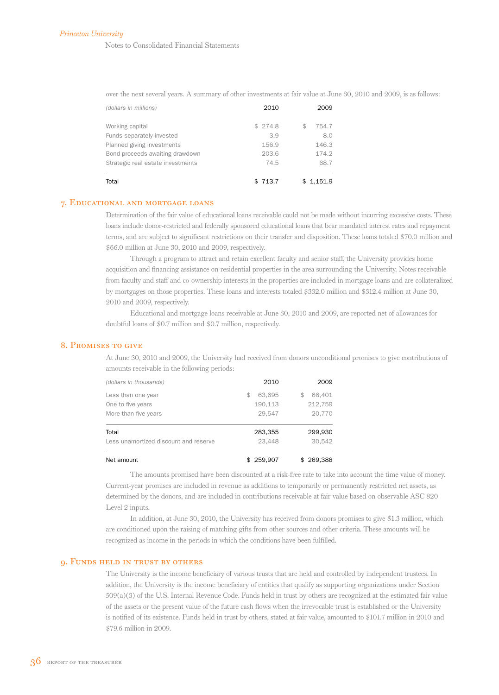Notes to Consolidated Financial Statements

over the next several years. A summary of other investments at fair value at June 30, 2010 and 2009, is as follows:

| Total                             | 713.7   | 1,151.9 |
|-----------------------------------|---------|---------|
| Strategic real estate investments | 74.5    | 68.7    |
| Bond proceeds awaiting drawdown   | 203.6   | 174.2   |
| Planned giving investments        | 156.9   | 146.3   |
| Funds separately invested         | 3.9     | 8.0     |
| Working capital                   | \$274.8 | 754.7   |
| (dollars in millions)             | 2010    | 2009    |

### 7. Educational and mortgage loans

Determination of the fair value of educational loans receivable could not be made without incurring excessive costs. These loans include donor-restricted and federally sponsored educational loans that bear mandated interest rates and repayment terms, and are subject to significant restrictions on their transfer and disposition. These loans totaled \$70.0 million and \$66.0 million at June 30, 2010 and 2009, respectively.

Through a program to attract and retain excellent faculty and senior staff, the University provides home acquisition and financing assistance on residential properties in the area surrounding the University. Notes receivable from faculty and staff and co-ownership interests in the properties are included in mortgage loans and are collateralized by mortgages on those properties. These loans and interests totaled \$332.0 million and \$312.4 million at June 30, 2010 and 2009, respectively.

Educational and mortgage loans receivable at June 30, 2010 and 2009, are reported net of allowances for doubtful loans of \$0.7 million and \$0.7 million, respectively.

### 8. Promises to give

At June 30, 2010 and 2009, the University had received from donors unconditional promises to give contributions of amounts receivable in the following periods:

| Net amount                            | \$259.907 | \$269,388   |
|---------------------------------------|-----------|-------------|
| Less unamortized discount and reserve | 23.448    | 30.542      |
| Total                                 | 283,355   | 299,930     |
| More than five years                  | 29.547    | 20.770      |
| One to five years                     | 190.113   | 212.759     |
| Less than one year                    | 63.695    | 66.401<br>S |
| (dollars in thousands)                | 2010      | 2009        |

The amounts promised have been discounted at a risk-free rate to take into account the time value of money. Current-year promises are included in revenue as additions to temporarily or permanently restricted net assets, as determined by the donors, and are included in contributions receivable at fair value based on observable ASC 820 Level 2 inputs.

In addition, at June 30, 2010, the University has received from donors promises to give \$1.3 million, which are conditioned upon the raising of matching gifts from other sources and other criteria. These amounts will be recognized as income in the periods in which the conditions have been fulfilled.

### 9. Funds held in trust by others

The University is the income beneficiary of various trusts that are held and controlled by independent trustees. In addition, the University is the income beneficiary of entities that qualify as supporting organizations under Section 509(a)(3) of the U.S. Internal Revenue Code. Funds held in trust by others are recognized at the estimated fair value of the assets or the present value of the future cash flows when the irrevocable trust is established or the University is notified of its existence. Funds held in trust by others, stated at fair value, amounted to \$101.7 million in 2010 and \$79.6 million in 2009.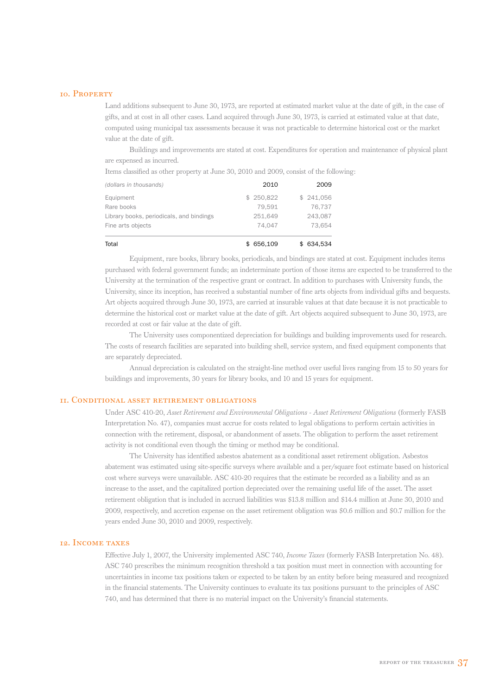### 10. Property

Land additions subsequent to June 30, 1973, are reported at estimated market value at the date of gift, in the case of gifts, and at cost in all other cases. Land acquired through June 30, 1973, is carried at estimated value at that date, computed using municipal tax assessments because it was not practicable to determine historical cost or the market value at the date of gift.

Buildings and improvements are stated at cost. Expenditures for operation and maintenance of physical plant are expensed as incurred.

Items classified as other property at June 30, 2010 and 2009, consist of the following:

| Total                                    | 656.109   | \$ 634.534 |
|------------------------------------------|-----------|------------|
| Fine arts objects                        | 74.047    | 73.654     |
| Library books, periodicals, and bindings | 251.649   | 243,087    |
| Rare books                               | 79.591    | 76.737     |
| Equipment                                | \$250.822 | \$241.056  |
| (dollars in thousands)                   | 2010      | 2009       |

Equipment, rare books, library books, periodicals, and bindings are stated at cost. Equipment includes items purchased with federal government funds; an indeterminate portion of those items are expected to be transferred to the University at the termination of the respective grant or contract. In addition to purchases with University funds, the University, since its inception, has received a substantial number of fine arts objects from individual gifts and bequests. Art objects acquired through June 30, 1973, are carried at insurable values at that date because it is not practicable to determine the historical cost or market value at the date of gift. Art objects acquired subsequent to June 30, 1973, are recorded at cost or fair value at the date of gift.

The University uses componentized depreciation for buildings and building improvements used for research. The costs of research facilities are separated into building shell, service system, and fixed equipment components that are separately depreciated.

Annual depreciation is calculated on the straight-line method over useful lives ranging from 15 to 50 years for buildings and improvements, 30 years for library books, and 10 and 15 years for equipment.

### 11. Conditional asset retirement obligations

Under ASC 410-20, *Asset Retirement and Environmental Obligations - Asset Retirement Obligations* (formerly FASB Interpretation No. 47), companies must accrue for costs related to legal obligations to perform certain activities in connection with the retirement, disposal, or abandonment of assets. The obligation to perform the asset retirement activity is not conditional even though the timing or method may be conditional.

The University has identified asbestos abatement as a conditional asset retirement obligation. Asbestos abatement was estimated using site-specific surveys where available and a per/square foot estimate based on historical cost where surveys were unavailable. ASC 410-20 requires that the estimate be recorded as a liability and as an increase to the asset, and the capitalized portion depreciated over the remaining useful life of the asset. The asset retirement obligation that is included in accrued liabilities was \$13.8 million and \$14.4 million at June 30, 2010 and 2009, respectively, and accretion expense on the asset retirement obligation was \$0.6 million and \$0.7 million for the years ended June 30, 2010 and 2009, respectively.

### 12. Income taxes

Effective July 1, 2007, the University implemented ASC 740, *Income Taxes* (formerly FASB Interpretation No. 48). ASC 740 prescribes the minimum recognition threshold a tax position must meet in connection with accounting for uncertainties in income tax positions taken or expected to be taken by an entity before being measured and recognized in the financial statements. The University continues to evaluate its tax positions pursuant to the principles of ASC 740, and has determined that there is no material impact on the University's financial statements.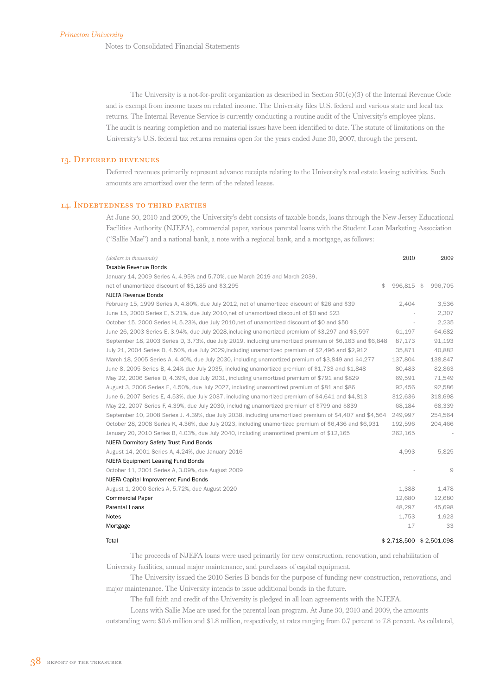Notes to Consolidated Financial Statements

The University is a not-for-profit organization as described in Section 501(c)(3) of the Internal Revenue Code and is exempt from income taxes on related income. The University files U.S. federal and various state and local tax returns. The Internal Revenue Service is currently conducting a routine audit of the University's employee plans. The audit is nearing completion and no material issues have been identified to date. The statute of limitations on the University's U.S. federal tax returns remains open for the years ended June 30, 2007, through the present.

### 13. Deferred revenues

Deferred revenues primarily represent advance receipts relating to the University's real estate leasing activities. Such amounts are amortized over the term of the related leases.

### 14. Indebtedness to third parties

At June 30, 2010 and 2009, the University's debt consists of taxable bonds, loans through the New Jersey Educational Facilities Authority (NJEFA), commercial paper, various parental loans with the Student Loan Marketing Association ("Sallie Mae") and a national bank, a note with a regional bank, and a mortgage, as follows:

| (dollars in thousands)                                                                                  | 2010       | 2009    |
|---------------------------------------------------------------------------------------------------------|------------|---------|
| Taxable Revenue Bonds                                                                                   |            |         |
| January 14, 2009 Series A, 4.95% and 5.70%, due March 2019 and March 2039,                              |            |         |
| \$<br>net of unamortized discount of \$3,185 and \$3,295                                                | 996,815 \$ | 996,705 |
| <b>NJEFA Revenue Bonds</b>                                                                              |            |         |
| February 15, 1999 Series A, 4.80%, due July 2012, net of unamortized discount of \$26 and \$39          | 2,404      | 3,536   |
| June 15, 2000 Series E, 5.21%, due July 2010, net of unamortized discount of \$0 and \$23               |            | 2,307   |
| October 15, 2000 Series H, 5.23%, due July 2010, net of unamortized discount of \$0 and \$50            |            | 2,235   |
| June 26, 2003 Series E, 3.94%, due July 2028, including unamortized premium of \$3,297 and \$3,597      | 61.197     | 64.682  |
| September 18, 2003 Series D, 3.73%, due July 2019, including unamortized premium of \$6,163 and \$6,848 | 87,173     | 91,193  |
| July 21, 2004 Series D, 4.50%, due July 2029, including unamortized premium of \$2,496 and \$2,912      | 35,871     | 40,882  |
| March 18, 2005 Series A, 4.40%, due July 2030, including unamortized premium of \$3,849 and \$4,277     | 137.804    | 138,847 |
| June 8, 2005 Series B, 4.24% due July 2035, including unamortized premium of \$1,733 and \$1,848        | 80,483     | 82,863  |
| May 22, 2006 Series D, 4.39%, due July 2031, including unamortized premium of \$791 and \$829           | 69.591     | 71,549  |
| August 3, 2006 Series E, 4.50%, due July 2027, including unamortized premium of \$81 and \$86           | 92,456     | 92,586  |
| June 6, 2007 Series E, 4.53%, due July 2037, including unamortized premium of \$4,641 and \$4,813       | 312,636    | 318,698 |
| May 22, 2007 Series F, 4.39%, due July 2030, including unamortized premium of \$799 and \$839           | 68.184     | 68.339  |
| September 10, 2008 Series J. 4.39%, due July 2038, including unamortized premium of \$4,407 and \$4,564 | 249.997    | 254,564 |
| October 28, 2008 Series K, 4.36%, due July 2023, including unamortized premium of \$6,436 and \$6,931   | 192,596    | 204,466 |
| January 20, 2010 Series B, 4.03%, due July 2040, including unamortized premium of \$12,165              | 262,165    |         |
| NJEFA Dormitory Safety Trust Fund Bonds                                                                 |            |         |
| August 14, 2001 Series A, 4.24%, due January 2016                                                       | 4,993      | 5,825   |
| NJEFA Equipment Leasing Fund Bonds                                                                      |            |         |
| October 11, 2001 Series A, 3.09%, due August 2009                                                       |            | 9       |
| NJEFA Capital Improvement Fund Bonds                                                                    |            |         |
| August 1, 2000 Series A, 5.72%, due August 2020                                                         | 1,388      | 1,478   |
| <b>Commercial Paper</b>                                                                                 | 12,680     | 12,680  |
| Parental Loans                                                                                          | 48,297     | 45,698  |
| Notes                                                                                                   | 1,753      | 1,923   |
| Mortgage                                                                                                | 17         | 33      |

### Total \$ 2,718,500 \$ 2,501,098

The proceeds of NJEFA loans were used primarily for new construction, renovation, and rehabilitation of University facilities, annual major maintenance, and purchases of capital equipment.

The University issued the 2010 Series B bonds for the purpose of funding new construction, renovations, and major maintenance. The University intends to issue additional bonds in the future.

The full faith and credit of the University is pledged in all loan agreements with the NJEFA.

Loans with Sallie Mae are used for the parental loan program. At June 30, 2010 and 2009, the amounts

outstanding were \$0.6 million and \$1.8 million, respectively, at rates ranging from 0.7 percent to 7.8 percent. As collateral,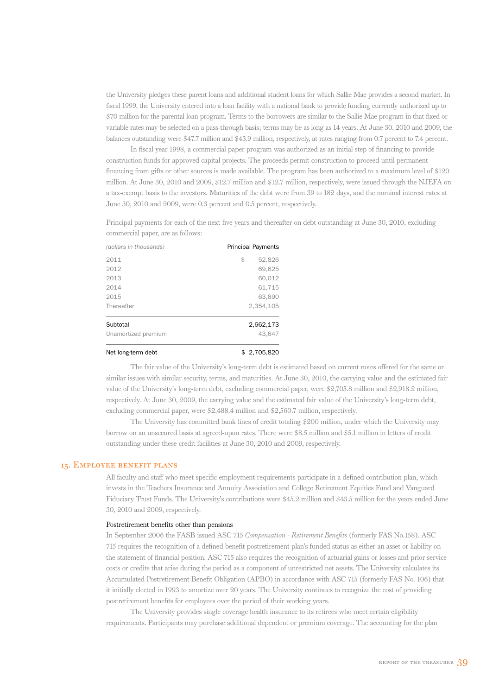the University pledges these parent loans and additional student loans for which Sallie Mae provides a second market. In fiscal 1999, the University entered into a loan facility with a national bank to provide funding currently authorized up to \$70 million for the parental loan program. Terms to the borrowers are similar to the Sallie Mae program in that fixed or variable rates may be selected on a pass-through basis; terms may be as long as 14 years. At June 30, 2010 and 2009, the balances outstanding were \$47.7 million and \$43.9 million, respectively, at rates ranging from 0.7 percent to 7.4 percent.

In fiscal year 1998, a commercial paper program was authorized as an initial step of financing to provide construction funds for approved capital projects. The proceeds permit construction to proceed until permanent financing from gifts or other sources is made available. The program has been authorized to a maximum level of \$120 million. At June 30, 2010 and 2009, \$12.7 million and \$12.7 million, respectively, were issued through the NJEFA on a tax-exempt basis to the investors. Maturities of the debt were from 39 to 182 days, and the nominal interest rates at June 30, 2010 and 2009, were 0.3 percent and 0.5 percent, respectively.

Principal payments for each of the next five years and thereafter on debt outstanding at June 30, 2010, excluding commercial paper, are as follows:

| (dollars in thousands) | <b>Principal Payments</b> |
|------------------------|---------------------------|
| 2011                   | \$<br>52,826              |
| 2012                   | 69,625                    |
| 2013                   | 60,012                    |
| 2014                   | 61,715                    |
| 2015                   | 63,890                    |
| Thereafter             | 2.354.105                 |
| Subtotal               | 2,662,173                 |
| Unamortized premium    | 43.647                    |
| Net long-term debt     | \$2.705.820               |

The fair value of the University's long-term debt is estimated based on current notes offered for the same or similar issues with similar security, terms, and maturities. At June 30, 2010, the carrying value and the estimated fair value of the University's long-term debt, excluding commercial paper, were \$2,705.8 million and \$2,918.2 million, respectively. At June 30, 2009, the carrying value and the estimated fair value of the University's long-term debt, excluding commercial paper, were \$2,488.4 million and \$2,560.7 million, respectively.

The University has committed bank lines of credit totaling \$200 million, under which the University may borrow on an unsecured basis at agreed-upon rates. There were \$8.5 million and \$5.1 million in letters of credit outstanding under these credit facilities at June 30, 2010 and 2009, respectively.

### 15. Employee benefit plans

All faculty and staff who meet specific employment requirements participate in a defined contribution plan, which invests in the Teachers Insurance and Annuity Association and College Retirement Equities Fund and Vanguard Fiduciary Trust Funds. The University's contributions were \$45.2 million and \$43.5 million for the years ended June 30, 2010 and 2009, respectively.

### Postretirement benefits other than pensions

In September 2006 the FASB issued ASC 715 *Compensation - Retirement Benefits* (formerly FAS No.158). ASC 715 requires the recognition of a defined benefit postretirement plan's funded status as either an asset or liability on the statement of financial position. ASC 715 also requires the recognition of actuarial gains or losses and prior service costs or credits that arise during the period as a component of unrestricted net assets. The University calculates its Accumulated Postretirement Benefit Obligation (APBO) in accordance with ASC 715 (formerly FAS No. 106) that it initially elected in 1993 to amortize over 20 years. The University continues to recognize the cost of providing postretirement benefits for employees over the period of their working years.

The University provides single coverage health insurance to its retirees who meet certain eligibility requirements. Participants may purchase additional dependent or premium coverage. The accounting for the plan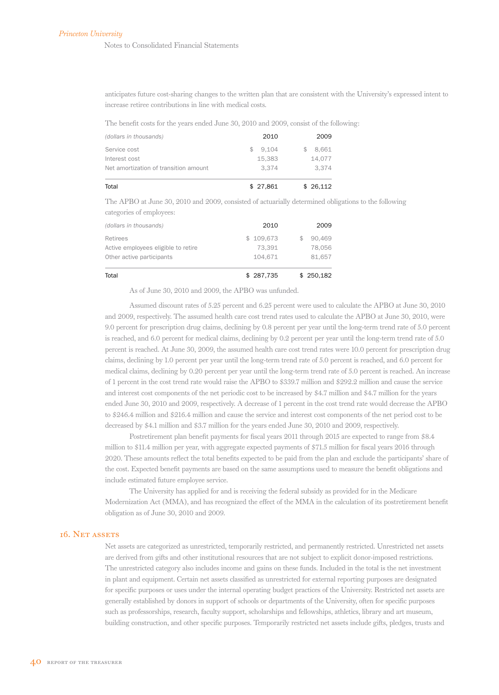anticipates future cost-sharing changes to the written plan that are consistent with the University's expressed intent to increase retiree contributions in line with medical costs.

The benefit costs for the years ended June 30, 2010 and 2009, consist of the following:

| Total                                 | \$27,861 | \$26,112 |
|---------------------------------------|----------|----------|
| Net amortization of transition amount | 3.374    | 3.374    |
| Interest cost                         | 15.383   | 14,077   |
| Service cost                          | 9.104    | 8.661    |
| (dollars in thousands)                | 2010     | 2009     |

The APBO at June 30, 2010 and 2009, consisted of actuarially determined obligations to the following categories of employees:

| Total                               | \$287,735 | \$250,182 |
|-------------------------------------|-----------|-----------|
| Other active participants           | 104.671   | 81.657    |
| Active employees eligible to retire | 73.391    | 78.056    |
| Retirees                            | \$109,673 | 90,469    |
| (dollars in thousands)              | 2010      | 2009      |

As of June 30, 2010 and 2009, the APBO was unfunded.

Assumed discount rates of 5.25 percent and 6.25 percent were used to calculate the APBO at June 30, 2010 and 2009, respectively. The assumed health care cost trend rates used to calculate the APBO at June 30, 2010, were 9.0 percent for prescription drug claims, declining by 0.8 percent per year until the long-term trend rate of 5.0 percent is reached, and 6.0 percent for medical claims, declining by 0.2 percent per year until the long-term trend rate of 5.0 percent is reached. At June 30, 2009, the assumed health care cost trend rates were 10.0 percent for prescription drug claims, declining by 1.0 percent per year until the long-term trend rate of 5.0 percent is reached, and 6.0 percent for medical claims, declining by 0.20 percent per year until the long-term trend rate of 5.0 percent is reached. An increase of 1 percent in the cost trend rate would raise the APBO to \$339.7 million and \$292.2 million and cause the service and interest cost components of the net periodic cost to be increased by \$4.7 million and \$4.7 million for the years ended June 30, 2010 and 2009, respectively. A decrease of 1 percent in the cost trend rate would decrease the APBO to \$246.4 million and \$216.4 million and cause the service and interest cost components of the net period cost to be decreased by \$4.1 million and \$3.7 million for the years ended June 30, 2010 and 2009, respectively.

Postretirement plan benefit payments for fiscal years 2011 through 2015 are expected to range from \$8.4 million to \$11.4 million per year, with aggregate expected payments of \$71.5 million for fiscal years 2016 through 2020. These amounts reflect the total benefits expected to be paid from the plan and exclude the participants' share of the cost. Expected benefit payments are based on the same assumptions used to measure the benefit obligations and include estimated future employee service.

The University has applied for and is receiving the federal subsidy as provided for in the Medicare Modernization Act (MMA), and has recognized the effect of the MMA in the calculation of its postretirement benefit obligation as of June 30, 2010 and 2009.

### 16. Net assets

Net assets are categorized as unrestricted, temporarily restricted, and permanently restricted. Unrestricted net assets are derived from gifts and other institutional resources that are not subject to explicit donor-imposed restrictions. The unrestricted category also includes income and gains on these funds. Included in the total is the net investment in plant and equipment. Certain net assets classified as unrestricted for external reporting purposes are designated for specific purposes or uses under the internal operating budget practices of the University. Restricted net assets are generally established by donors in support of schools or departments of the University, often for specific purposes such as professorships, research, faculty support, scholarships and fellowships, athletics, library and art museum, building construction, and other specific purposes. Temporarily restricted net assets include gifts, pledges, trusts and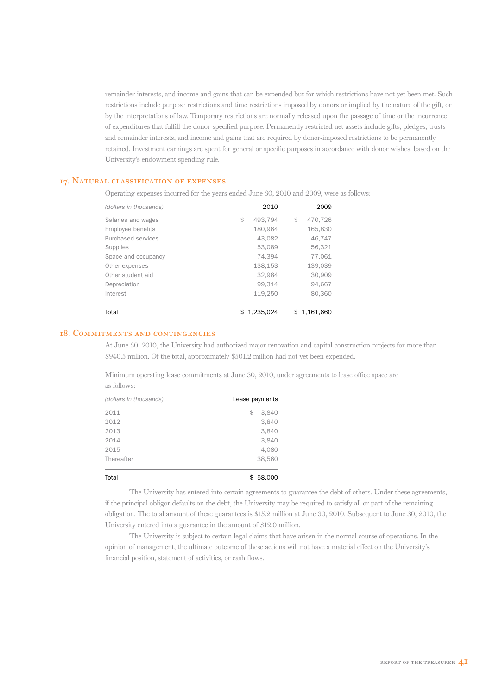remainder interests, and income and gains that can be expended but for which restrictions have not yet been met. Such restrictions include purpose restrictions and time restrictions imposed by donors or implied by the nature of the gift, or by the interpretations of law. Temporary restrictions are normally released upon the passage of time or the incurrence of expenditures that fulfill the donor-specified purpose. Permanently restricted net assets include gifts, pledges, trusts and remainder interests, and income and gains that are required by donor-imposed restrictions to be permanently retained. Investment earnings are spent for general or specific purposes in accordance with donor wishes, based on the University's endowment spending rule.

### 17. Natural classification of expenses

Operating expenses incurred for the years ended June 30, 2010 and 2009, were as follows:

| (dollars in thousands) | 2010            | 2009          |
|------------------------|-----------------|---------------|
| Salaries and wages     | \$<br>493.794   | \$<br>470.726 |
| Employee benefits      | 180.964         | 165,830       |
| Purchased services     | 43.082          | 46.747        |
| Supplies               | 53,089          | 56,321        |
| Space and occupancy    | 74.394          | 77.061        |
| Other expenses         | 138,153         | 139.039       |
| Other student aid      | 32,984          | 30,909        |
| Depreciation           | 99.314          | 94.667        |
| Interest               | 119.250         | 80,360        |
| Total                  | \$<br>1.235.024 | \$1.161.660   |

### 18. Commitments and contingencies

At June 30, 2010, the University had authorized major renovation and capital construction projects for more than \$940.5 million. Of the total, approximately \$501.2 million had not yet been expended.

Minimum operating lease commitments at June 30, 2010, under agreements to lease office space are as follows:

| 2011       | Lease payments<br>3,840<br>\$ |
|------------|-------------------------------|
| 2012       | 3,840                         |
| 2013       | 3,840                         |
| 2014       | 3,840                         |
| 2015       | 4,080                         |
| Thereafter | 38,560                        |
| Total      | \$58,000                      |

The University has entered into certain agreements to guarantee the debt of others. Under these agreements, if the principal obligor defaults on the debt, the University may be required to satisfy all or part of the remaining obligation. The total amount of these guarantees is \$15.2 million at June 30, 2010. Subsequent to June 30, 2010, the University entered into a guarantee in the amount of \$12.0 million.

The University is subject to certain legal claims that have arisen in the normal course of operations. In the opinion of management, the ultimate outcome of these actions will not have a material effect on the University's financial position, statement of activities, or cash flows.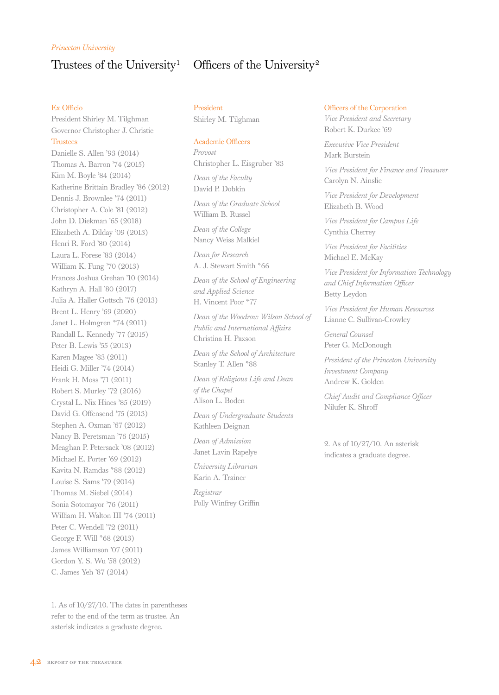### *Princeton University*

## Trustees of the University<sup>1</sup> Officers of the University<sup>2</sup>

### Ex Officio

President Shirley M. Tilghman Governor Christopher J. Christie Trustees

Danielle S. Allen '93 (2014) Thomas A. Barron '74 (2015) Kim M. Boyle '84 (2014) Katherine Brittain Bradley '86 (2012) Dennis J. Brownlee '74 (2011) Christopher A. Cole '81 (2012) John D. Diekman '65 (2018) Elizabeth A. Dilday '09 (2013) Henri R. Ford '80 (2014) Laura L. Forese '83 (2014) William K. Fung '70 (2013) Frances Joshua Grehan '10 (2014) Kathryn A. Hall '80 (2017) Julia A. Haller Gottsch '76 (2013) Brent L. Henry '69 (2020) Janet L. Holmgren \*74 (2011) Randall L. Kennedy '77 (2015) Peter B. Lewis '55 (2013) Karen Magee '83 (2011) Heidi G. Miller '74 (2014) Frank H. Moss '71 (2011) Robert S. Murley '72 (2016) Crystal L. Nix Hines '85 (2019) David G. Offensend '75 (2013) Stephen A. Oxman '67 (2012) Nancy B. Peretsman '76 (2015) Meaghan P. Petersack '08 (2012) Michael E. Porter '69 (2012) Kavita N. Ramdas \*88 (2012) Louise S. Sams '79 (2014) Thomas M. Siebel (2014) Sonia Sotomayor '76 (2011) William H. Walton III '74 (2011) Peter C. Wendell '72 (2011) George F. Will \*68 (2013) James Williamson '07 (2011) Gordon Y. S. Wu '58 (2012) C. James Yeh '87 (2014)

President Shirley M. Tilghman

### Academic Officers

*Provost* Christopher L. Eisgruber '83

*Dean of the Faculty* David P. Dobkin

*Dean of the Graduate School* William B. Russel

*Dean of the College* Nancy Weiss Malkiel

*Dean for Research* A. J. Stewart Smith \*66

*Dean of the School of Engineering and Applied Science* H. Vincent Poor \*77

*Dean of the Woodrow Wilson School of Public and International Affairs* Christina H. Paxson

*Dean of the School of Architecture* Stanley T. Allen \*88

*Dean of Religious Life and Dean of the Chapel* Alison L. Boden

*Dean of Undergraduate Students* Kathleen Deignan

*Dean of Admission* Janet Lavin Rapelye

*University Librarian* Karin A. Trainer

*Registrar* Polly Winfrey Griffin

### Officers of the Corporation

*Vice President and Secretary* Robert K. Durkee '69

*Executive Vice President* Mark Burstein

*Vice President for Finance and Treasurer* Carolyn N. Ainslie

*Vice President for Development* Elizabeth B. Wood

*Vice President for Campus Life* Cynthia Cherrey

*Vice President for Facilities* Michael E. McKay

*Vice President for Information Technology and Chief Information Officer* Betty Leydon

*Vice President for Human Resources* Lianne C. Sullivan-Crowley

*General Counsel* Peter G. McDonough

*President of the Princeton University Investment Company* Andrew K. Golden

*Chief Audit and Compliance Officer* Nilufer K. Shroff

2. As of 10/27/10. An asterisk indicates a graduate degree.

1. As of 10/27/10. The dates in parentheses refer to the end of the term as trustee. An asterisk indicates a graduate degree.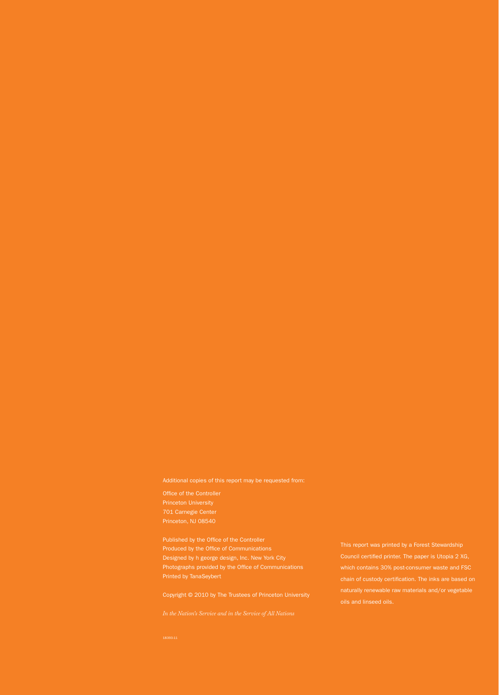701 Carnegie Center

Designed by h george design, Inc. New York City Photographs provided by the Office of Communications Printed by TanaSeybert

Copyright © 2010 by The Trustees of Princeton University

Council certified printer. The paper is Utopia 2 XG, naturally renewable raw materials and/or vegetable